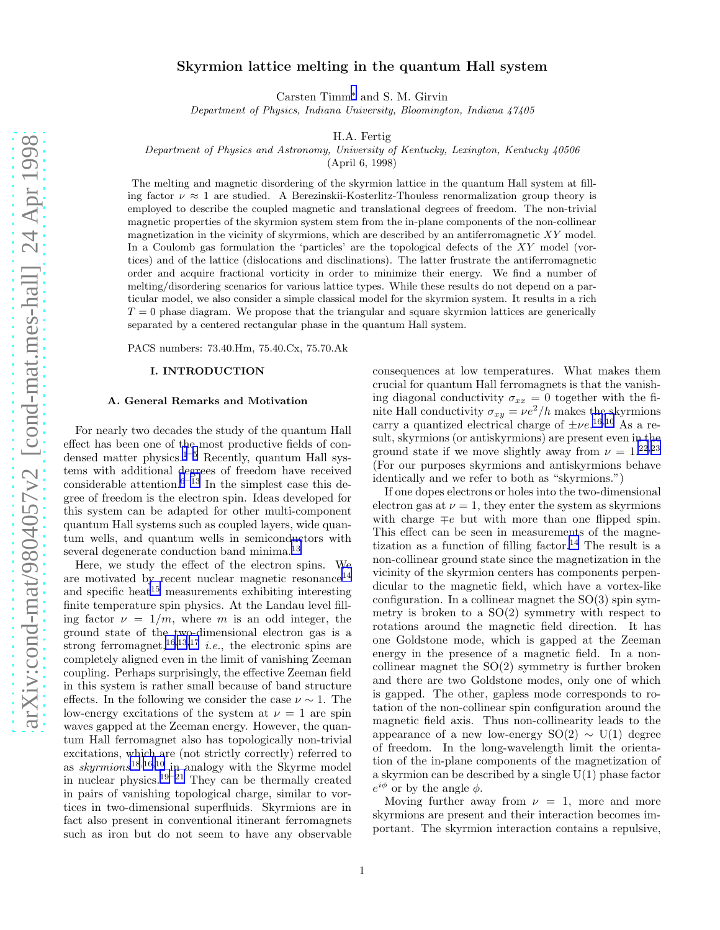# <span id="page-0-0"></span>Skyrmion lattice melting in the quantum Hall system

Carsten Timm[∗](#page-12-0) and S. M. Girvin

Department of Physics, Indiana University, Bloomington, Indiana 47405

H.A. Fertig

Department of Physics and Astronomy, University of Kentucky, Lexington, Kentucky 40506

(April 6, 1998)

The melting and magnetic disordering of the skyrmion lattice in the quantum Hall system at filling factor  $\nu \approx 1$  are studied. A Berezinskii-Kosterlitz-Thouless renormalization group theory is employed to describe the coupled magnetic and translational degrees of freedom. The non-trivial magnetic properties of the skyrmion system stem from the in-plane components of the non-collinear magnetization in the vicinity of skyrmions, which are described by an antiferromagnetic  $XY$  model. In a Coulomb gas formulation the 'particles' are the topological defects of the XY model (vortices) and of the lattice (dislocations and disclinations). The latter frustrate the antiferromagnetic order and acquire fractional vorticity in order to minimize their energy. We find a number of melting/disordering scenarios for various lattice types. While these results do not depend on a particular model, we also consider a simple classical model for the skyrmion system. It results in a rich  $T = 0$  phase diagram. We propose that the triangular and square skyrmion lattices are generically separated by a centered rectangular phase in the quantum Hall system.

PACS numbers: 73.40.Hm, 75.40.Cx, 75.70.Ak

#### I. INTRODUCTION

#### A. General Remarks and Motivation

For nearly two decades the study of the quantum Hall effect has been one of the most productive fields of condensed matter physics. $1^{-5}$  $1^{-5}$  $1^{-5}$  $1^{-5}$  Recently, quantum Hall systems with additional degrees of freedom have received considerable attention. $6<sup>-13</sup>$  $6<sup>-13</sup>$  $6<sup>-13</sup>$  $6<sup>-13</sup>$  In the simplest case this degree of freedom is the electron spin. Ideas developed for this system can be adapted for other multi-component quantum Hall systems such as coupled layers, wide quantum wells, and quantum wells in semiconductors with several degenerate conduction band minima.<sup>[13](#page-12-0)</sup>

Here, we study the effect of the electron spins. We are motivated by recent nuclear magnetic resonance $^{14}$  $^{14}$  $^{14}$ and specific heat<sup>[15](#page-12-0)</sup> measurements exhibiting interesting finite temperature spin physics. At the Landau level filling factor  $\nu = 1/m$ , where m is an odd integer, the ground state of the two-dimensional electron gas is a strong ferromagnet,<sup>[16](#page-12-0),[13](#page-12-0),[17](#page-12-0)</sup> *i.e.*, the electronic spins are completely aligned even in the limit of vanishing Zeeman coupling. Perhaps surprisingly, the effective Zeeman field in this system is rather small because of band structure effects. In the following we consider the case  $\nu \sim 1$ . The low-energy excitations of the system at  $\nu = 1$  are spin waves gapped at the Zeeman energy. However, the quantum Hall ferromagnet also has topologically non-trivial excitations, which are (not strictly correctly) referred to as  $skyrmions^{18,16,10}$  $skyrmions^{18,16,10}$  $skyrmions^{18,16,10}$  $skyrmions^{18,16,10}$  $skyrmions^{18,16,10}$  $skyrmions^{18,16,10}$  $skyrmions^{18,16,10}$  in analogy with the Skyrme model in nuclear physics.<sup>[19](#page-12-0)–[21](#page-12-0)</sup> They can be thermally created in pairs of vanishing topological charge, similar to vortices in two-dimensional superfluids. Skyrmions are in fact also present in conventional itinerant ferromagnets such as iron but do not seem to have any observable

consequences at low temperatures. What makes them crucial for quantum Hall ferromagnets is that the vanishing diagonal conductivity  $\sigma_{xx} = 0$  together with the finite Hall conductivity  $\sigma_{xy} = \nu e^2/h$  makes the skyrmions carry a quantized electrical charge of  $\pm \nu e^{16,10}$  $\pm \nu e^{16,10}$  $\pm \nu e^{16,10}$  $\pm \nu e^{16,10}$  $\pm \nu e^{16,10}$  As a result, skyrmions (or antiskyrmions) are present even in the ground state if we move slightly away from  $\nu = 1.2223$  $\nu = 1.2223$  $\nu = 1.2223$ (For our purposes skyrmions and antiskyrmions behave identically and we refer to both as "skyrmions.")

If one dopes electrons or holes into the two-dimensional electron gas at  $\nu = 1$ , they enter the system as skyrmions with charge  $\mp e$  but with more than one flipped spin. This effect can be seen in measurements of the magne-tization as a function of filling factor.<sup>[14](#page-12-0)</sup> The result is a non-collinear ground state since the magnetization in the vicinity of the skyrmion centers has components perpendicular to the magnetic field, which have a vortex-like configuration. In a collinear magnet the  $SO(3)$  spin symmetry is broken to a  $SO(2)$  symmetry with respect to rotations around the magnetic field direction. It has one Goldstone mode, which is gapped at the Zeeman energy in the presence of a magnetic field. In a noncollinear magnet the  $SO(2)$  symmetry is further broken and there are two Goldstone modes, only one of which is gapped. The other, gapless mode corresponds to rotation of the non-collinear spin configuration around the magnetic field axis. Thus non-collinearity leads to the appearance of a new low-energy  $SO(2) \sim U(1)$  degree of freedom. In the long-wavelength limit the orientation of the in-plane components of the magnetization of a skyrmion can be described by a single U(1) phase factor  $e^{i\phi}$  or by the angle  $\phi$ .

Moving further away from  $\nu = 1$ , more and more skyrmions are present and their interaction becomes important. The skyrmion interaction contains a repulsive,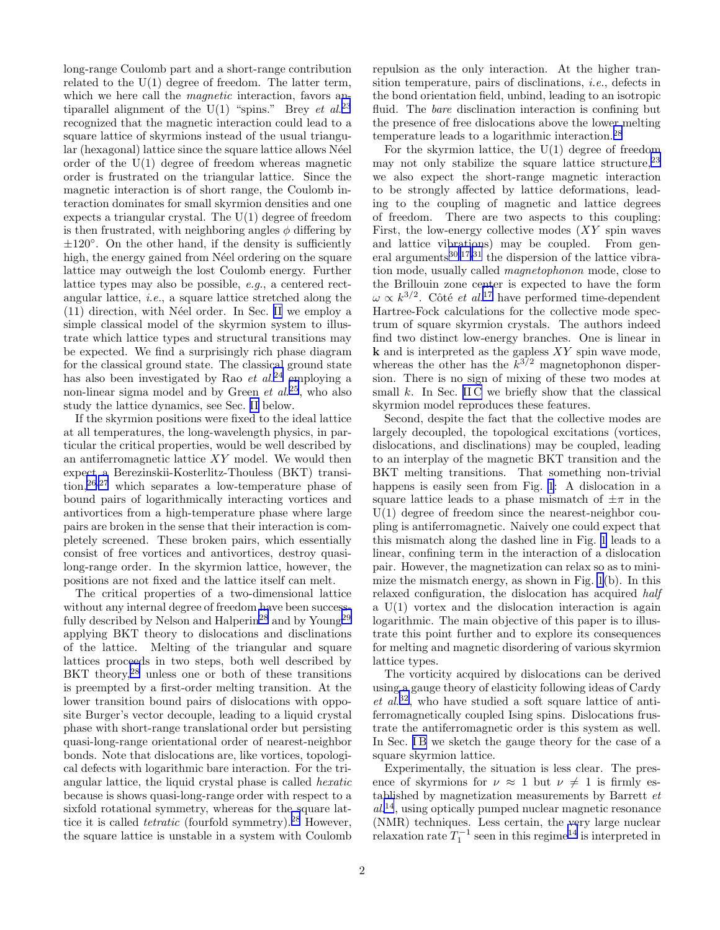long-range Coulomb part and a short-range contribution related to the  $U(1)$  degree of freedom. The latter term, which we here call the *magnetic* interaction, favors antiparallel alignment of the U(1) "spins." Brey et  $al^{23}$  $al^{23}$  $al^{23}$ recognized that the magnetic interaction could lead to a square lattice of skyrmions instead of the usual triangular (hexagonal) lattice since the square lattice allows Néel order of the U(1) degree of freedom whereas magnetic order is frustrated on the triangular lattice. Since the magnetic interaction is of short range, the Coulomb interaction dominates for small skyrmion densities and one expects a triangular crystal. The  $U(1)$  degree of freedom is then frustrated, with neighboring angles  $\phi$  differing by  $\pm 120^\circ$ . On the other hand, if the density is sufficiently high, the energy gained from Néel ordering on the square lattice may outweigh the lost Coulomb energy. Further lattice types may also be possible, e.g., a centered rectangular lattice, i.e., a square lattice stretched along the  $(11)$  direction, with Néel order. In Sec. [II](#page-3-0) we employ a simple classical model of the skyrmion system to illustrate which lattice types and structural transitions may be expected. We find a surprisingly rich phase diagram for the classical ground state. The classical ground state has also been investigated by Rao  $et$   $al.^{24}$  $al.^{24}$  $al.^{24}$  employing a non-linear sigma model and by Green  $et$   $al.^{25}$  $al.^{25}$  $al.^{25}$ , who also study the lattice dynamics, see Sec. [II](#page-3-0) below.

If the skyrmion positions were fixed to the ideal lattice at all temperatures, the long-wavelength physics, in particular the critical properties, would be well described by an antiferromagnetic lattice  $XY$  model. We would then expect a Berezinskii-Kosterlitz-Thouless (BKT) transition,[26](#page-12-0),[27](#page-12-0) which separates a low-temperature phase of bound pairs of logarithmically interacting vortices and antivortices from a high-temperature phase where large pairs are broken in the sense that their interaction is completely screened. These broken pairs, which essentially consist of free vortices and antivortices, destroy quasilong-range order. In the skyrmion lattice, however, the positions are not fixed and the lattice itself can melt.

The critical properties of a two-dimensional lattice without any internal degree of freedom have been success-fully described by Nelson and Halperin<sup>[28](#page-12-0)</sup> and by Young<sup>[29](#page-12-0)</sup> applying BKT theory to dislocations and disclinations of the lattice. Melting of the triangular and square lattices proceeds in two steps, both well described by BKT theory,<sup>[28](#page-12-0)</sup> unless one or both of these transitions is preempted by a first-order melting transition. At the lower transition bound pairs of dislocations with opposite Burger's vector decouple, leading to a liquid crystal phase with short-range translational order but persisting quasi-long-range orientational order of nearest-neighbor bonds. Note that dislocations are, like vortices, topological defects with logarithmic bare interaction. For the triangular lattice, the liquid crystal phase is called hexatic because is shows quasi-long-range order with respect to a sixfold rotational symmetry, whereas for the square lattice it is called *tetratic* (fourfold symmetry).<sup>[28](#page-12-0)</sup> However, the square lattice is unstable in a system with Coulomb repulsion as the only interaction. At the higher transition temperature, pairs of disclinations, i.e., defects in the bond orientation field, unbind, leading to an isotropic fluid. The *bare* disclination interaction is confining but the presence of free dislocations above the lower melting temperature leads to a logarithmic interaction.[28](#page-12-0)

For the skyrmion lattice, the  $U(1)$  degree of freedom may not only stabilize the square lattice structure,  $2^3$ we also expect the short-range magnetic interaction to be strongly affected by lattice deformations, leading to the coupling of magnetic and lattice degrees of freedom. There are two aspects to this coupling: First, the low-energy collective modes  $(XY)$  spin waves and lattice vibrations) may be coupled. From general arguments $30,17,31$  $30,17,31$  $30,17,31$  $30,17,31$  $30,17,31$  the dispersion of the lattice vibration mode, usually called magnetophonon mode, close to the Brillouin zone center is expected to have the form  $\omega \propto k^{3/2}$ . Côté *et al.*<sup>[17](#page-12-0)</sup> have performed time-dependent Hartree-Fock calculations for the collective mode spectrum of square skyrmion crystals. The authors indeed find two distinct low-energy branches. One is linear in  $k$  and is interpreted as the gapless  $XY$  spin wave mode, whereas the other has the  $k^{3/2}$  magnetophonon dispersion. There is no sign of mixing of these two modes at small  $k$ . In Sec. [II C](#page-5-0) we briefly show that the classical skyrmion model reproduces these features.

Second, despite the fact that the collective modes are largely decoupled, the topological excitations (vortices, dislocations, and disclinations) may be coupled, leading to an interplay of the magnetic BKT transition and the BKT melting transitions. That something non-trivial happens is easily seen from Fig. [1](#page-13-0): A dislocation in a square lattice leads to a phase mismatch of  $\pm \pi$  in the  $U(1)$  degree of freedom since the nearest-neighbor coupling is antiferromagnetic. Naively one could expect that this mismatch along the dashed line in Fig. [1](#page-13-0) leads to a linear, confining term in the interaction of a dislocation pair. However, the magnetization can relax so as to minimize the mismatch energy, as shown in Fig. [1](#page-13-0)(b). In this relaxed configuration, the dislocation has acquired half a U(1) vortex and the dislocation interaction is again logarithmic. The main objective of this paper is to illustrate this point further and to explore its consequences for melting and magnetic disordering of various skyrmion lattice types.

The vorticity acquired by dislocations can be derived using a gauge theory of elasticity following ideas of Cardy et al. [32](#page-12-0), who have studied a soft square lattice of antiferromagnetically coupled Ising spins. Dislocations frustrate the antiferromagnetic order is this system as well. In Sec. IB we sketch the gauge theory for the case of a square skyrmion lattice.

Experimentally, the situation is less clear. The presence of skyrmions for  $\nu \approx 1$  but  $\nu \neq 1$  is firmly established by magnetization measurements by Barrett et al. [14](#page-12-0), using optically pumped nuclear magnetic resonance (NMR) techniques. Less certain, the very large nuclear relaxation rate  $T_1^{-1}$  seen in this regime<sup>[14](#page-12-0)</sup> is interpreted in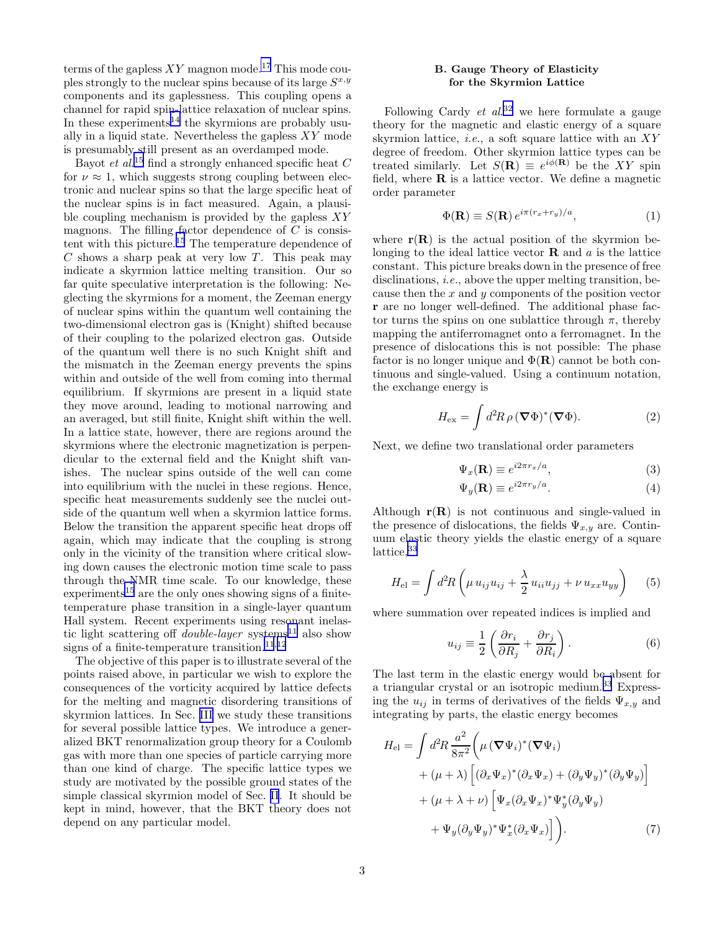<span id="page-2-0"></span>terms of the gapless  $XY$  magnon mode.<sup>[17](#page-12-0)</sup> This mode couples strongly to the nuclear spins because of its large  $S^{x,y}$ components and its gaplessness. This coupling opens a channel for rapid spin-lattice relaxation of nuclear spins. In these experiments<sup>[14](#page-12-0)</sup> the skyrmions are probably usually in a liquid state. Nevertheless the gapless  $XY$  mode is presumably still present as an overdamped mode.

Bayot *et al.*<sup>[15](#page-12-0)</sup> find a strongly enhanced specific heat  $C$ for  $\nu \approx 1$ , which suggests strong coupling between electronic and nuclear spins so that the large specific heat of the nuclear spins is in fact measured. Again, a plausible coupling mechanism is provided by the gapless  $XY$ magnons. The filling factor dependence of  $C$  is consistent with this picture.[15](#page-12-0) The temperature dependence of  $C$  shows a sharp peak at very low  $T$ . This peak may indicate a skyrmion lattice melting transition. Our so far quite speculative interpretation is the following: Neglecting the skyrmions for a moment, the Zeeman energy of nuclear spins within the quantum well containing the two-dimensional electron gas is (Knight) shifted because of their coupling to the polarized electron gas. Outside of the quantum well there is no such Knight shift and the mismatch in the Zeeman energy prevents the spins within and outside of the well from coming into thermal equilibrium. If skyrmions are present in a liquid state they move around, leading to motional narrowing and an averaged, but still finite, Knight shift within the well. In a lattice state, however, there are regions around the skyrmions where the electronic magnetization is perpendicular to the external field and the Knight shift vanishes. The nuclear spins outside of the well can come into equilibrium with the nuclei in these regions. Hence, specific heat measurements suddenly see the nuclei outside of the quantum well when a skyrmion lattice forms. Below the transition the apparent specific heat drops off again, which may indicate that the coupling is strong only in the vicinity of the transition where critical slowing down causes the electronic motion time scale to pass through the NMR time scale. To our knowledge, these  $experiments<sup>15</sup>$  $experiments<sup>15</sup>$  $experiments<sup>15</sup>$  are the only ones showing signs of a finitetemperature phase transition in a single-layer quantum Hall system. Recent experiments using resonant inelastic light scattering off *double-layer* systems<sup>[11](#page-12-0)</sup> also show signs of a finite-temperature transition.<sup>[11](#page-12-0),[12](#page-12-0)</sup>

The objective of this paper is to illustrate several of the points raised above, in particular we wish to explore the consequences of the vorticity acquired by lattice defects for the melting and magnetic disordering transitions of skyrmion lattices. In Sec. [III](#page-7-0) we study these transitions for several possible lattice types. We introduce a generalized BKT renormalization group theory for a Coulomb gas with more than one species of particle carrying more than one kind of charge. The specific lattice types we study are motivated by the possible ground states of the simple classical skyrmion model of Sec. [II](#page-3-0). It should be kept in mind, however, that the BKT theory does not depend on any particular model.

### B. Gauge Theory of Elasticity for the Skyrmion Lattice

Following Cardy  $et$   $al$ <sup>[32](#page-12-0)</sup> we here formulate a gauge theory for the magnetic and elastic energy of a square skyrmion lattice, *i.e.*, a soft square lattice with an  $XY$ degree of freedom. Other skyrmion lattice types can be treated similarly. Let  $S(\mathbf{R}) \equiv e^{i\phi(\mathbf{R})}$  be the XY spin field, where  **is a lattice vector. We define a magnetic** order parameter

$$
\Phi(\mathbf{R}) \equiv S(\mathbf{R}) e^{i\pi(r_x + r_y)/a}, \qquad (1)
$$

where  $r(R)$  is the actual position of the skyrmion belonging to the ideal lattice vector  **and**  $a$  **is the lattice** constant. This picture breaks down in the presence of free disclinations, *i.e.*, above the upper melting transition, because then the  $x$  and  $y$  components of the position vector r are no longer well-defined. The additional phase factor turns the spins on one sublattice through  $\pi$ , thereby mapping the antiferromagnet onto a ferromagnet. In the presence of dislocations this is not possible: The phase factor is no longer unique and  $\Phi(\mathbf{R})$  cannot be both continuous and single-valued. Using a continuum notation, the exchange energy is

$$
H_{\text{ex}} = \int d^2 R \,\rho \, (\mathbf{\nabla}\Phi)^* (\mathbf{\nabla}\Phi). \tag{2}
$$

Next, we define two translational order parameters

$$
\Psi_x(\mathbf{R}) \equiv e^{i2\pi r_x/a},\tag{3}
$$

$$
\Psi_y(\mathbf{R}) \equiv e^{i2\pi r_y/a}.\tag{4}
$$

Although  $r(R)$  is not continuous and single-valued in the presence of dislocations, the fields  $\Psi_{x,y}$  are. Continuum elastic theory yields the elastic energy of a square lattice.<sup>[33](#page-12-0)</sup>

$$
H_{\rm el} = \int d^2 R \left( \mu u_{ij} u_{ij} + \frac{\lambda}{2} u_{ii} u_{jj} + \nu u_{xx} u_{yy} \right) \tag{5}
$$

where summation over repeated indices is implied and

$$
u_{ij} \equiv \frac{1}{2} \left( \frac{\partial r_i}{\partial R_j} + \frac{\partial r_j}{\partial R_i} \right). \tag{6}
$$

The last term in the elastic energy would be absent for a triangular crystal or an isotropic medium.<sup>[33](#page-12-0)</sup> Expressing the  $u_{ij}$  in terms of derivatives of the fields  $\Psi_{x,y}$  and integrating by parts, the elastic energy becomes

$$
H_{\rm el} = \int d^2 R \frac{a^2}{8\pi^2} \left( \mu \left( \nabla \Psi_i \right)^* (\nabla \Psi_i) \right. \n+ (\mu + \lambda) \left[ (\partial_x \Psi_x)^* (\partial_x \Psi_x) + (\partial_y \Psi_y)^* (\partial_y \Psi_y) \right] \n+ (\mu + \lambda + \nu) \left[ \Psi_x (\partial_x \Psi_x)^* \Psi_y^* (\partial_y \Psi_y) \right. \n+ \Psi_y (\partial_y \Psi_y)^* \Psi_x^* (\partial_x \Psi_x) \right].
$$
\n(7)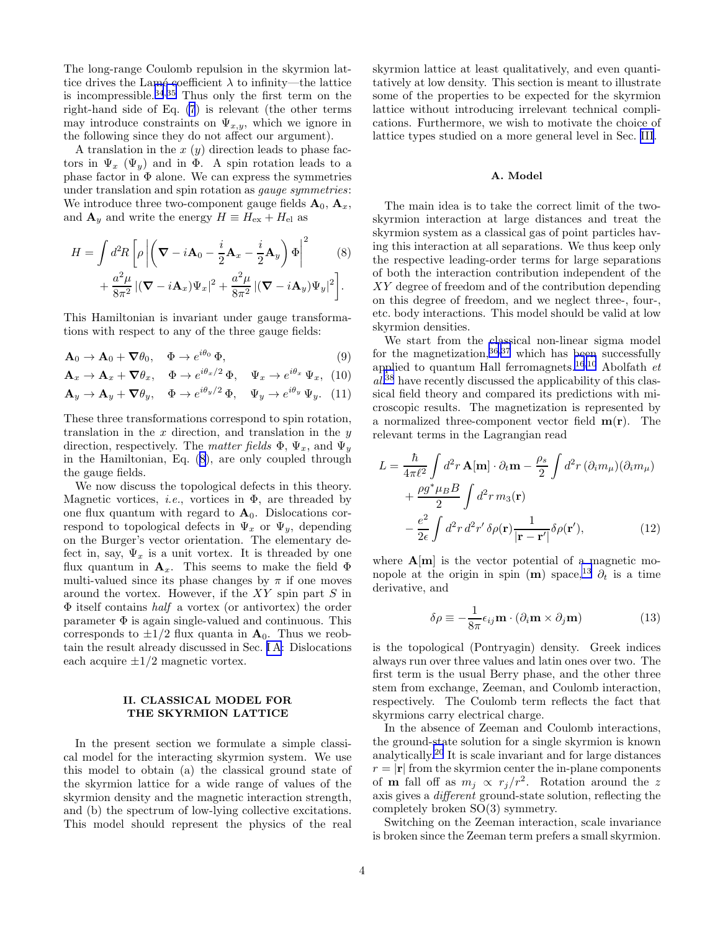<span id="page-3-0"></span>The long-range Coulomb repulsion in the skyrmion lattice drives the Lamé coefficient  $\lambda$  to infinity—the lattice is incompressible.<sup>[34](#page-12-0),[35](#page-12-0)</sup> Thus only the first term on the right-hand side of Eq. [\(7](#page-2-0)) is relevant (the other terms may introduce constraints on  $\Psi_{x,y}$ , which we ignore in the following since they do not affect our argument).

A translation in the  $x(y)$  direction leads to phase factors in  $\Psi_x$  ( $\Psi_y$ ) and in  $\Phi$ . A spin rotation leads to a phase factor in  $\Phi$  alone. We can express the symmetries under translation and spin rotation as gauge symmetries: We introduce three two-component gauge fields  $\mathbf{A}_0$ ,  $\mathbf{A}_x$ , and  $\mathbf{A}_y$  and write the energy  $H \equiv H_{\text{ex}} + H_{\text{el}}$  as

$$
H = \int d^2 R \left[ \rho \left| \left( \nabla - i \mathbf{A}_0 - \frac{i}{2} \mathbf{A}_x - \frac{i}{2} \mathbf{A}_y \right) \Phi \right|^2 \right] \tag{8}
$$

$$
+\frac{a^2\mu}{8\pi^2}\left|(\boldsymbol{\nabla}-i\mathbf{A}_x)\Psi_x\right|^2+\frac{a^2\mu}{8\pi^2}\left|(\boldsymbol{\nabla}-i\mathbf{A}_y)\Psi_y\right|^2\bigg].
$$

This Hamiltonian is invariant under gauge transformations with respect to any of the three gauge fields:

$$
\mathbf{A}_0 \to \mathbf{A}_0 + \nabla \theta_0, \quad \Phi \to e^{i\theta_0} \Phi,
$$
\n(9)

$$
\mathbf{A}_x \to \mathbf{A}_x + \nabla \theta_x, \quad \Phi \to e^{i\theta_x/2} \Phi, \quad \Psi_x \to e^{i\theta_x} \Psi_x, \tag{10}
$$

$$
\mathbf{A}_y \to \mathbf{A}_y + \nabla \theta_y, \quad \Phi \to e^{i\theta_y/2} \Phi, \quad \Psi_y \to e^{i\theta_y} \Psi_y. \tag{11}
$$

These three transformations correspond to spin rotation, translation in the  $x$  direction, and translation in the  $y$ direction, respectively. The matter fields  $\Phi$ ,  $\Psi_x$ , and  $\Psi_y$ in the Hamiltonian, Eq. (8), are only coupled through the gauge fields.

We now discuss the topological defects in this theory. Magnetic vortices, *i.e.*, vortices in  $\Phi$ , are threaded by one flux quantum with regard to  $A_0$ . Dislocations correspond to topological defects in  $\Psi_x$  or  $\Psi_y$ , depending on the Burger's vector orientation. The elementary defect in, say,  $\Psi_x$  is a unit vortex. It is threaded by one flux quantum in  $\mathbf{A}_x$ . This seems to make the field  $\Phi$ multi-valued since its phase changes by  $\pi$  if one moves around the vortex. However, if the  $XY$  spin part S in Φ itself contains half a vortex (or antivortex) the order parameter  $\Phi$  is again single-valued and continuous. This corresponds to  $\pm 1/2$  flux quanta in  $A_0$ . Thus we reobtain the result already discussed in Sec. [I A](#page-0-0): Dislocations each acquire  $\pm 1/2$  magnetic vortex.

## II. CLASSICAL MODEL FOR THE SKYRMION LATTICE

In the present section we formulate a simple classical model for the interacting skyrmion system. We use this model to obtain (a) the classical ground state of the skyrmion lattice for a wide range of values of the skyrmion density and the magnetic interaction strength, and (b) the spectrum of low-lying collective excitations. This model should represent the physics of the real skyrmion lattice at least qualitatively, and even quantitatively at low density. This section is meant to illustrate some of the properties to be expected for the skyrmion lattice without introducing irrelevant technical complications. Furthermore, we wish to motivate the choice of lattice types studied on a more general level in Sec. [III](#page-7-0).

#### A. Model

The main idea is to take the correct limit of the twoskyrmion interaction at large distances and treat the skyrmion system as a classical gas of point particles having this interaction at all separations. We thus keep only the respective leading-order terms for large separations of both the interaction contribution independent of the XY degree of freedom and of the contribution depending on this degree of freedom, and we neglect three-, four-, etc. body interactions. This model should be valid at low skyrmion densities.

We start from the classical non-linear sigma model for the magnetization,  $36,37$  $36,37$  $36,37$  which has been successfully applied to quantum Hall ferromagnets.<sup>[16](#page-12-0),[10](#page-12-0)</sup> Abolfath  $et$ al. [38](#page-12-0) have recently discussed the applicability of this classical field theory and compared its predictions with microscopic results. The magnetization is represented by a normalized three-component vector field  $m(r)$ . The relevant terms in the Lagrangian read

$$
L = \frac{\hbar}{4\pi\ell^2} \int d^2r \,\mathbf{A[m]} \cdot \partial_t \mathbf{m} - \frac{\rho_s}{2} \int d^2r \,(\partial_i m_\mu)(\partial_i m_\mu) + \frac{\rho g^* \mu_B B}{2} \int d^2r \,m_3(\mathbf{r}) - \frac{e^2}{2\epsilon} \int d^2r \,d^2r' \,\delta\rho(\mathbf{r}) \frac{1}{|\mathbf{r} - \mathbf{r}'|} \delta\rho(\mathbf{r}'), \tag{12}
$$

where  $\mathbf{A}[\mathbf{m}]$  is the vector potential of a magnetic mo-nopole at the origin in spin (m) space,<sup>[13](#page-12-0)</sup>  $\partial_t$  is a time derivative, and

$$
\delta \rho \equiv -\frac{1}{8\pi} \epsilon_{ij} \mathbf{m} \cdot (\partial_i \mathbf{m} \times \partial_j \mathbf{m}) \tag{13}
$$

is the topological (Pontryagin) density. Greek indices always run over three values and latin ones over two. The first term is the usual Berry phase, and the other three stem from exchange, Zeeman, and Coulomb interaction, respectively. The Coulomb term reflects the fact that skyrmions carry electrical charge.

In the absence of Zeeman and Coulomb interactions, the ground-state solution for a single skyrmion is known analytically.[20](#page-12-0) It is scale invariant and for large distances  $r = |\mathbf{r}|$  from the skyrmion center the in-plane components of **m** fall off as  $m_j \propto r_j/r^2$ . Rotation around the z axis gives a different ground-state solution, reflecting the completely broken SO(3) symmetry.

Switching on the Zeeman interaction, scale invariance is broken since the Zeeman term prefers a small skyrmion.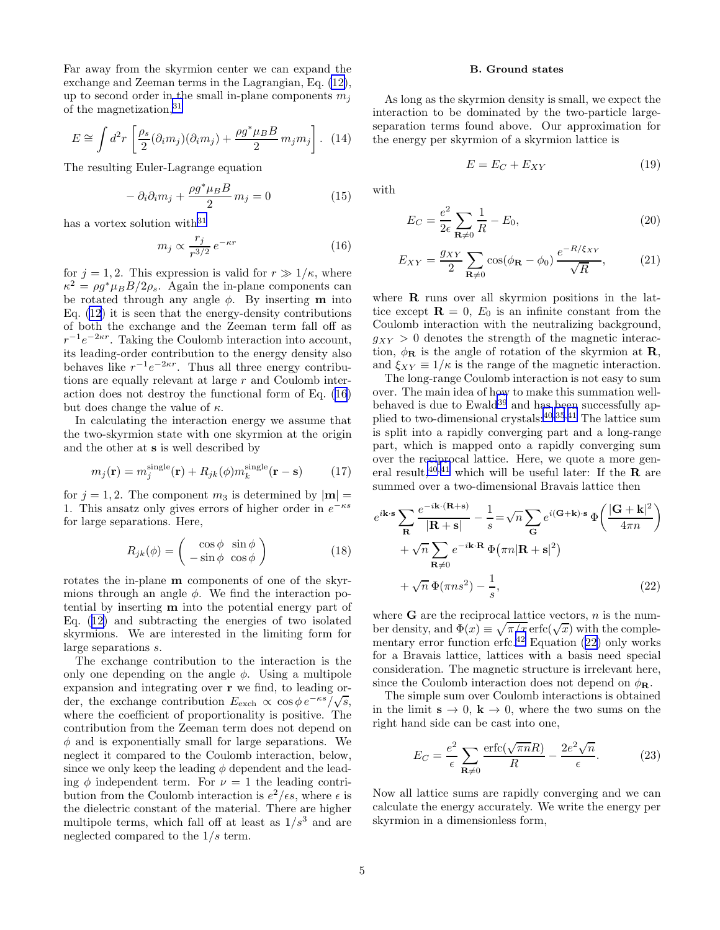<span id="page-4-0"></span>Far away from the skyrmion center we can expand the exchange and Zeeman terms in the Lagrangian, Eq. [\(12\)](#page-3-0), up to second order in the small in-plane components  $m_i$ of the magnetization,  $31$ 

$$
E \cong \int d^2r \left[ \frac{\rho_s}{2} (\partial_i m_j)(\partial_i m_j) + \frac{\rho g^* \mu_B B}{2} m_j m_j \right]. \tag{14}
$$

The resulting Euler-Lagrange equation

$$
-\partial_i \partial_i m_j + \frac{\rho g^* \mu_B B}{2} m_j = 0 \tag{15}
$$

has a vortex solution with  $31$ 

$$
m_j \propto \frac{r_j}{r^{3/2}} e^{-\kappa r} \tag{16}
$$

for  $j = 1, 2$ . This expression is valid for  $r \gg 1/\kappa$ , where  $\kappa^2 = \rho g^* \mu_B B / 2 \rho_s$ . Again the in-plane components can be rotated through any angle  $\phi$ . By inserting **m** into Eq. [\(12](#page-3-0)) it is seen that the energy-density contributions of both the exchange and the Zeeman term fall off as  $r^{-1}e^{-2\kappa r}$ . Taking the Coulomb interaction into account, its leading-order contribution to the energy density also behaves like  $r^{-1}e^{-2\kappa r}$ . Thus all three energy contributions are equally relevant at large  $r$  and Coulomb interaction does not destroy the functional form of Eq. (16) but does change the value of  $\kappa$ .

In calculating the interaction energy we assume that the two-skyrmion state with one skyrmion at the origin and the other at s is well described by

$$
m_j(\mathbf{r}) = m_j^{\text{single}}(\mathbf{r}) + R_{jk}(\phi) m_k^{\text{single}}(\mathbf{r} - \mathbf{s}) \tag{17}
$$

for  $j = 1, 2$ . The component  $m_3$  is determined by  $|\mathbf{m}| =$ 1. This ansatz only gives errors of higher order in  $e^{-\kappa s}$ for large separations. Here,

$$
R_{jk}(\phi) = \begin{pmatrix} \cos \phi & \sin \phi \\ -\sin \phi & \cos \phi \end{pmatrix}
$$
 (18)

rotates the in-plane m components of one of the skyrmions through an angle  $\phi$ . We find the interaction potential by inserting m into the potential energy part of Eq.([12\)](#page-3-0) and subtracting the energies of two isolated skyrmions. We are interested in the limiting form for large separations s.

The exchange contribution to the interaction is the only one depending on the angle  $\phi$ . Using a multipole expansion and integrating over r we find, to leading order, the exchange contribution  $E_{\text{exch}} \propto \cos \phi e^{-\kappa s}/\sqrt{s}$ , where the coefficient of proportionality is positive. The contribution from the Zeeman term does not depend on  $\phi$  and is exponentially small for large separations. We neglect it compared to the Coulomb interaction, below, since we only keep the leading  $\phi$  dependent and the leading  $\phi$  independent term. For  $\nu = 1$  the leading contribution from the Coulomb interaction is  $e^2/\epsilon s$ , where  $\epsilon$  is the dielectric constant of the material. There are higher multipole terms, which fall off at least as  $1/s<sup>3</sup>$  and are neglected compared to the  $1/s$  term.

#### B. Ground states

As long as the skyrmion density is small, we expect the interaction to be dominated by the two-particle largeseparation terms found above. Our approximation for the energy per skyrmion of a skyrmion lattice is

$$
E = E_C + E_{XY} \tag{19}
$$

with

$$
E_C = \frac{e^2}{2\epsilon} \sum_{\mathbf{R}\neq 0} \frac{1}{R} - E_0,
$$
\n(20)

$$
E_{XY} = \frac{g_{XY}}{2} \sum_{\mathbf{R} \neq 0} \cos(\phi_{\mathbf{R}} - \phi_0) \frac{e^{-R/\xi_{XY}}}{\sqrt{R}},\tag{21}
$$

where R runs over all skyrmion positions in the lattice except  $\mathbf{R} = 0$ ,  $E_0$  is an infinite constant from the Coulomb interaction with the neutralizing background,  $g_{XY} > 0$  denotes the strength of the magnetic interaction,  $\phi_{\mathbf{R}}$  is the angle of rotation of the skyrmion at  $\mathbf{R}$ , and  $\xi_{XY} \equiv 1/\kappa$  is the range of the magnetic interaction.

The long-range Coulomb interaction is not easy to sum over. The main idea of how to make this summation well-behaved is due to Ewald<sup>[39](#page-12-0)</sup> and has been successfully applied to two-dimensional crystals:[40](#page-12-0),[35](#page-12-0),[41](#page-12-0) The lattice sum is split into a rapidly converging part and a long-range part, which is mapped onto a rapidly converging sum over the reciprocal lattice. Here, we quote a more gen-eral result,<sup>[40](#page-12-0),[41](#page-12-0)</sup> which will be useful later: If the  $\overline{R}$  are summed over a two-dimensional Bravais lattice then

$$
e^{i\mathbf{k}\cdot\mathbf{s}} \sum_{\mathbf{R}} \frac{e^{-i\mathbf{k}\cdot(\mathbf{R}+\mathbf{s})}}{|\mathbf{R}+\mathbf{s}|} - \frac{1}{s} = \sqrt{n} \sum_{\mathbf{G}} e^{i(\mathbf{G}+\mathbf{k})\cdot\mathbf{s}} \Phi\left(\frac{|\mathbf{G}+\mathbf{k}|^2}{4\pi n}\right) + \sqrt{n} \sum_{\mathbf{R}\neq 0} e^{-i\mathbf{k}\cdot\mathbf{R}} \Phi(\pi n |\mathbf{R}+\mathbf{s}|^2) + \sqrt{n} \Phi(\pi n s^2) - \frac{1}{s},
$$
(22)

where  $G$  are the reciprocal lattice vectors,  $n$  is the number density, and  $\Phi(x) \equiv \sqrt{\pi/x} \operatorname{erfc}(\sqrt{x})$  with the comple-mentary error function erfc.<sup>[42](#page-12-0)</sup> Equation  $(22)$  only works for a Bravais lattice, lattices with a basis need special consideration. The magnetic structure is irrelevant here, since the Coulomb interaction does not depend on  $\phi_{\mathbf{R}}$ .

The simple sum over Coulomb interactions is obtained in the limit  $s \to 0$ ,  $k \to 0$ , where the two sums on the right hand side can be cast into one,

$$
E_C = \frac{e^2}{\epsilon} \sum_{\mathbf{R} \neq 0} \frac{\text{erfc}(\sqrt{\pi n}R)}{R} - \frac{2e^2 \sqrt{n}}{\epsilon}.
$$
 (23)

Now all lattice sums are rapidly converging and we can calculate the energy accurately. We write the energy per skyrmion in a dimensionless form,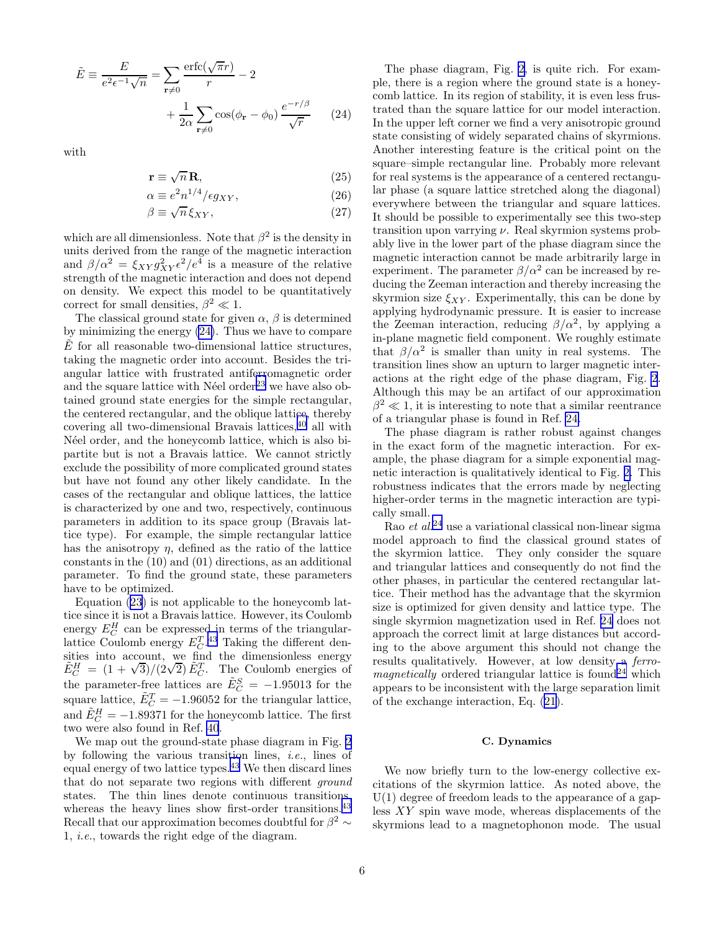<span id="page-5-0"></span>
$$
\tilde{E} \equiv \frac{E}{e^2 \epsilon^{-1} \sqrt{n}} = \sum_{\mathbf{r} \neq 0} \frac{\text{erfc}(\sqrt{\pi}r)}{r} - 2
$$

$$
+ \frac{1}{2\alpha} \sum_{\mathbf{r} \neq 0} \cos(\phi_{\mathbf{r}} - \phi_0) \frac{e^{-r/\beta}}{\sqrt{r}} \qquad (24)
$$

with

$$
\mathbf{r} \equiv \sqrt{n}\,\mathbf{R},\tag{25}
$$

$$
\alpha \equiv e^2 n^{1/4} / \epsilon g_{XY},\tag{26}
$$

$$
\beta \equiv \sqrt{n} \, \xi_{XY},\tag{27}
$$

which are all dimensionless. Note that  $\beta^2$  is the density in units derived from the range of the magnetic interaction and  $\beta/\alpha^2 = \xi_{XY} g_{XY}^2 \epsilon^2/e^4$  is a measure of the relative strength of the magnetic interaction and does not depend on density. We expect this model to be quantitatively correct for small densities,  $\beta^2 \ll 1$ .

The classical ground state for given  $\alpha$ ,  $\beta$  is determined by minimizing the energy (24). Thus we have to compare  $E$  for all reasonable two-dimensional lattice structures, taking the magnetic order into account. Besides the triangular lattice with frustrated antiferromagnetic order and the square lattice with Néel order<sup>[23](#page-12-0)</sup> we have also obtained ground state energies for the simple rectangular, the centered rectangular, and the oblique lattice, thereby covering all two-dimensional Bravais lattices,[40](#page-12-0) all with Néel order, and the honeycomb lattice, which is also bipartite but is not a Bravais lattice. We cannot strictly exclude the possibility of more complicated ground states but have not found any other likely candidate. In the cases of the rectangular and oblique lattices, the lattice is characterized by one and two, respectively, continuous parameters in addition to its space group (Bravais lattice type). For example, the simple rectangular lattice has the anisotropy  $\eta$ , defined as the ratio of the lattice constants in the (10) and (01) directions, as an additional parameter. To find the ground state, these parameters have to be optimized.

Equation([23\)](#page-4-0) is not applicable to the honeycomb lattice since it is not a Bravais lattice. However, its Coulomb energy  $E_C^H$  can be expressed in terms of the triangularlattice Coulomb energy  $E_C^T$ .<sup>[43](#page-12-0)</sup> Taking the different densities into account, we find the dimensionless energy  $\tilde{E}_C^H = (1 + \sqrt{3})/(2\sqrt{2}) \tilde{E}_C^T$ . The Coulomb energies of the parameter-free lattices are  $\tilde{E}_C^S = -1.95013$  for the square lattice,  $\tilde{E}_C^T = -1.96052$  for the triangular lattice, and  $\tilde{E}_C^H = -1.89371$  for the honeycomb lattice. The first two were also found in Ref. [40](#page-12-0).

We map out the ground-state phase diagram in Fig. [2](#page-13-0) by following the various transition lines, *i.e.*, lines of equal energy of two lattice types.[43](#page-12-0) We then discard lines that do not separate two regions with different ground states. The thin lines denote continuous transitions, whereas the heavy lines show first-order transitions.<sup>[43](#page-12-0)</sup> Recall that our approximation becomes doubtful for  $\beta^2 \sim$ 1, i.e., towards the right edge of the diagram.

The phase diagram, Fig. [2](#page-13-0), is quite rich. For example, there is a region where the ground state is a honeycomb lattice. In its region of stability, it is even less frustrated than the square lattice for our model interaction. In the upper left corner we find a very anisotropic ground state consisting of widely separated chains of skyrmions. Another interesting feature is the critical point on the square–simple rectangular line. Probably more relevant for real systems is the appearance of a centered rectangular phase (a square lattice stretched along the diagonal) everywhere between the triangular and square lattices. It should be possible to experimentally see this two-step transition upon varrying  $\nu$ . Real skyrmion systems probably live in the lower part of the phase diagram since the magnetic interaction cannot be made arbitrarily large in experiment. The parameter  $\beta/\alpha^2$  can be increased by reducing the Zeeman interaction and thereby increasing the skyrmion size  $\xi_{XY}$ . Experimentally, this can be done by applying hydrodynamic pressure. It is easier to increase the Zeeman interaction, reducing  $\beta/\alpha^2$ , by applying a in-plane magnetic field component. We roughly estimate that  $\beta/\alpha^2$  is smaller than unity in real systems. The transition lines show an upturn to larger magnetic interactions at the right edge of the phase diagram, Fig. [2](#page-13-0). Although this may be an artifact of our approximation  $\beta^2 \ll 1$ , it is interesting to note that a similar reentrance of a triangular phase is found in Ref. [24.](#page-12-0)

The phase diagram is rather robust against changes in the exact form of the magnetic interaction. For example, the phase diagram for a simple exponential magnetic interaction is qualitatively identical to Fig. [2.](#page-13-0) This robustness indicates that the errors made by neglecting higher-order terms in the magnetic interaction are typically small.

Rao et al.<sup>[24](#page-12-0)</sup> use a variational classical non-linear sigma model approach to find the classical ground states of the skyrmion lattice. They only consider the square and triangular lattices and consequently do not find the other phases, in particular the centered rectangular lattice. Their method has the advantage that the skyrmion size is optimized for given density and lattice type. The single skyrmion magnetization used in Ref. [24](#page-12-0) does not approach the correct limit at large distances but according to the above argument this should not change the results qualitatively. However, at low density a ferro $magnetically$  ordered triangular lattice is found<sup>[24](#page-12-0)</sup> which appears to be inconsistent with the large separation limit of the exchange interaction, Eq.([21](#page-4-0)).

#### C. Dynamics

We now briefly turn to the low-energy collective excitations of the skyrmion lattice. As noted above, the  $U(1)$  degree of freedom leads to the appearance of a gapless XY spin wave mode, whereas displacements of the skyrmions lead to a magnetophonon mode. The usual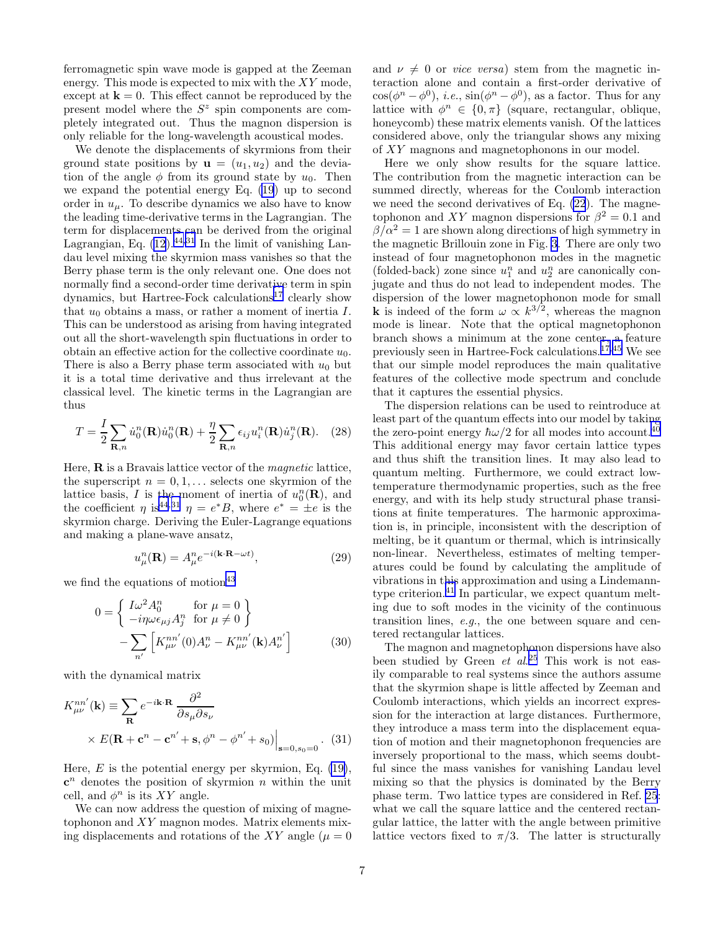<span id="page-6-0"></span>ferromagnetic spin wave mode is gapped at the Zeeman energy. This mode is expected to mix with the XY mode, except at  $\mathbf{k} = 0$ . This effect cannot be reproduced by the present model where the  $S<sup>z</sup>$  spin components are completely integrated out. Thus the magnon dispersion is only reliable for the long-wavelength acoustical modes.

We denote the displacements of skyrmions from their ground state positions by  $\mathbf{u} = (u_1, u_2)$  and the deviation of the angle  $\phi$  from its ground state by  $u_0$ . Then we expand the potential energy Eq. [\(19](#page-4-0)) up to second order in  $u_{\mu}$ . To describe dynamics we also have to know the leading time-derivative terms in the Lagrangian. The term for displacements can be derived from the original Lagrangian, Eq.  $(12)$ .<sup>[44](#page-12-0),[31](#page-12-0)</sup> In the limit of vanishing Landau level mixing the skyrmion mass vanishes so that the Berry phase term is the only relevant one. One does not normally find a second-order time derivative term in spin dynamics, but Hartree-Fock calculations<sup>[17](#page-12-0)</sup> clearly show that  $u_0$  obtains a mass, or rather a moment of inertia I. This can be understood as arising from having integrated out all the short-wavelength spin fluctuations in order to obtain an effective action for the collective coordinate  $u_0$ . There is also a Berry phase term associated with  $u_0$  but it is a total time derivative and thus irrelevant at the classical level. The kinetic terms in the Lagrangian are thus

$$
T = \frac{I}{2} \sum_{\mathbf{R},n} \dot{u}_0^n(\mathbf{R}) \dot{u}_0^n(\mathbf{R}) + \frac{\eta}{2} \sum_{\mathbf{R},n} \epsilon_{ij} u_i^n(\mathbf{R}) \dot{u}_j^n(\mathbf{R}). \quad (28)
$$

Here,  $\bf{R}$  is a Bravais lattice vector of the *magnetic* lattice, the superscript  $n = 0, 1, \ldots$  selects one skyrmion of the lattice basis, I is the moment of inertia of  $u_0^n(\mathbf{R})$ , and the coefficient  $\eta$  is<sup>[44](#page-12-0),[31](#page-12-0)</sup>  $\eta = e^*B$ , where  $e^* = \pm e$  is the skyrmion charge. Deriving the Euler-Lagrange equations and making a plane-wave ansatz,

$$
u_{\mu}^{n}(\mathbf{R}) = A_{\mu}^{n} e^{-i(\mathbf{k} \cdot \mathbf{R} - \omega t)}, \qquad (29)
$$

we find the equations of motion<sup>[43](#page-12-0)</sup>

$$
0 = \begin{cases} I\omega^2 A_0^n & \text{for } \mu = 0\\ -i\eta \omega \epsilon_{\mu j} A_j^n & \text{for } \mu \neq 0 \end{cases}
$$

$$
-\sum_{n'} \left[ K_{\mu\nu}^{nn'}(0) A_{\nu}^n - K_{\mu\nu}^{nn'}(\mathbf{k}) A_{\nu}^{n'} \right]
$$
(30)

with the dynamical matrix

$$
K_{\mu\nu}^{nn'}(\mathbf{k}) \equiv \sum_{\mathbf{R}} e^{-i\mathbf{k}\cdot\mathbf{R}} \frac{\partial^2}{\partial s_\mu \partial s_\nu}
$$
  
 
$$
\times E(\mathbf{R} + \mathbf{c}^n - \mathbf{c}^{n'} + \mathbf{s}, \phi^n - \phi^{n'} + s_0)\Big|_{\mathbf{s}=0, s_0=0}.
$$
 (31)

Here,  $E$  is the potential energy per skyrmion, Eq. [\(19\)](#page-4-0),  $\mathbf{c}^n$  denotes the position of skyrmion n within the unit cell, and  $\phi^n$  is its XY angle.

We can now address the question of mixing of magnetophonon and XY magnon modes. Matrix elements mixing displacements and rotations of the XY angle ( $\mu = 0$ ) and  $\nu \neq 0$  or *vice versa*) stem from the magnetic interaction alone and contain a first-order derivative of  $cos(\phi^n - \phi^0)$ , *i.e.*,  $sin(\phi^n - \phi^0)$ , as a factor. Thus for any lattice with  $\phi^n \in \{0, \pi\}$  (square, rectangular, oblique, honeycomb) these matrix elements vanish. Of the lattices considered above, only the triangular shows any mixing of XY magnons and magnetophonons in our model.

Here we only show results for the square lattice. The contribution from the magnetic interaction can be summed directly, whereas for the Coulomb interaction we need the second derivatives of Eq. [\(22](#page-4-0)). The magnetophonon and XY magnon dispersions for  $\beta^2 = 0.1$  and  $\beta/\alpha^2 = 1$  are shown along directions of high symmetry in the magnetic Brillouin zone in Fig. [3](#page-13-0). There are only two instead of four magnetophonon modes in the magnetic (folded-back) zone since  $u_1^n$  and  $u_2^n$  are canonically conjugate and thus do not lead to independent modes. The dispersion of the lower magnetophonon mode for small **k** is indeed of the form  $\omega \propto k^{3/2}$ , whereas the magnon mode is linear. Note that the optical magnetophonon branch shows a minimum at the zone center, a feature previously seen in Hartree-Fock calculations.[17](#page-12-0),[45](#page-12-0) We see that our simple model reproduces the main qualitative features of the collective mode spectrum and conclude that it captures the essential physics.

The dispersion relations can be used to reintroduce at least part of the quantum effects into our model by taking the zero-point energy  $\hbar \omega/2$  for all modes into account.<sup>[40](#page-12-0)</sup> This additional energy may favor certain lattice types and thus shift the transition lines. It may also lead to quantum melting. Furthermore, we could extract lowtemperature thermodynamic properties, such as the free energy, and with its help study structural phase transitions at finite temperatures. The harmonic approximation is, in principle, inconsistent with the description of melting, be it quantum or thermal, which is intrinsically non-linear. Nevertheless, estimates of melting temperatures could be found by calculating the amplitude of vibrations in this approximation and using a Lindemann-type criterion.<sup>[41](#page-12-0)</sup> In particular, we expect quantum melting due to soft modes in the vicinity of the continuous transition lines, e.g., the one between square and centered rectangular lattices.

The magnon and magnetophonon dispersions have also been studied by Green *et al.*<sup>[25](#page-12-0)</sup> This work is not easily comparable to real systems since the authors assume that the skyrmion shape is little affected by Zeeman and Coulomb interactions, which yields an incorrect expression for the interaction at large distances. Furthermore, they introduce a mass term into the displacement equation of motion and their magnetophonon frequencies are inversely proportional to the mass, which seems doubtful since the mass vanishes for vanishing Landau level mixing so that the physics is dominated by the Berry phase term. Two lattice types are considered in Ref. [25](#page-12-0): what we call the square lattice and the centered rectangular lattice, the latter with the angle between primitive lattice vectors fixed to  $\pi/3$ . The latter is structurally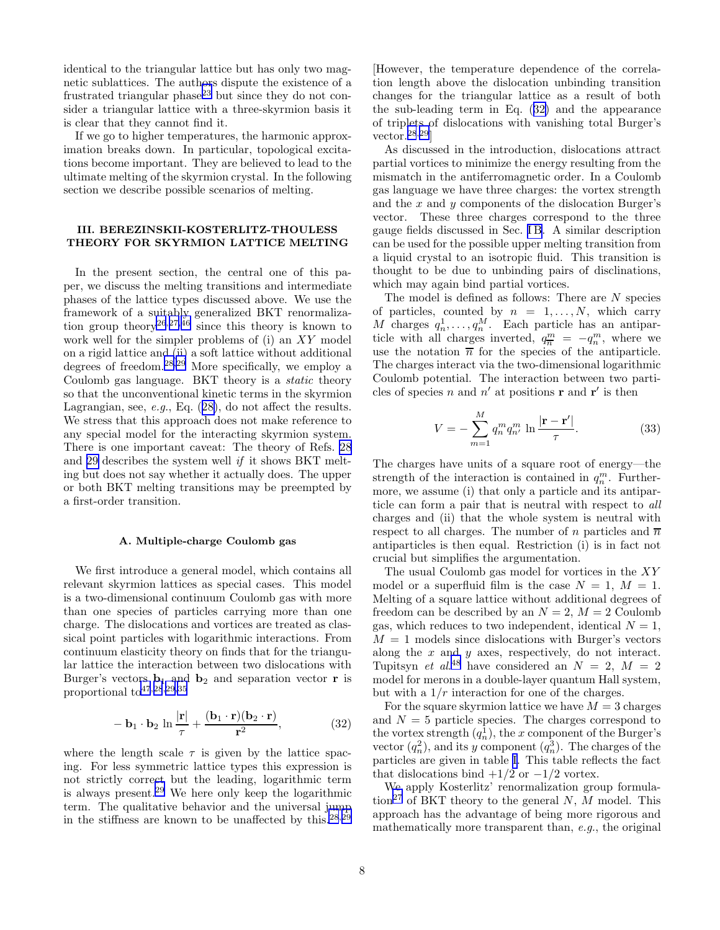<span id="page-7-0"></span>identical to the triangular lattice but has only two magnetic sublattices. The authors dispute the existence of a frustrated triangular phase<sup>[23](#page-12-0)</sup> but since they do not consider a triangular lattice with a three-skyrmion basis it is clear that they cannot find it.

If we go to higher temperatures, the harmonic approximation breaks down. In particular, topological excitations become important. They are believed to lead to the ultimate melting of the skyrmion crystal. In the following section we describe possible scenarios of melting.

## III. BEREZINSKII-KOSTERLITZ-THOULESS THEORY FOR SKYRMION LATTICE MELTING

In the present section, the central one of this paper, we discuss the melting transitions and intermediate phases of the lattice types discussed above. We use the framework of a suitably generalized BKT renormaliza-tion group theory<sup>[26](#page-12-0),[27](#page-12-0),[46](#page-12-0)</sup> since this theory is known to work well for the simpler problems of (i) an XY model on a rigid lattice and (ii) a soft lattice without additional degrees of freedom.<sup>[28](#page-12-0),[29](#page-12-0)</sup> More specifically, we employ a Coulomb gas language. BKT theory is a static theory so that the unconventional kinetic terms in the skyrmion Lagrangian, see, e.g., Eq.([28\)](#page-6-0), do not affect the results. We stress that this approach does not make reference to any special model for the interacting skyrmion system. There is one important caveat: The theory of Refs. [28](#page-12-0) and [29](#page-12-0) describes the system well if it shows BKT melting but does not say whether it actually does. The upper or both BKT melting transitions may be preempted by a first-order transition.

## A. Multiple-charge Coulomb gas

We first introduce a general model, which contains all relevant skyrmion lattices as special cases. This model is a two-dimensional continuum Coulomb gas with more than one species of particles carrying more than one charge. The dislocations and vortices are treated as classical point particles with logarithmic interactions. From continuum elasticity theory on finds that for the triangular lattice the interaction between two dislocations with Burger's vectors  $\mathbf{b}_1$  and  $\mathbf{b}_2$  and separation vector **r** is proportional to[47](#page-12-0),[28](#page-12-0),[29](#page-12-0),[35](#page-12-0)

$$
-\mathbf{b}_1 \cdot \mathbf{b}_2 \ln \frac{|\mathbf{r}|}{\tau} + \frac{(\mathbf{b}_1 \cdot \mathbf{r})(\mathbf{b}_2 \cdot \mathbf{r})}{\mathbf{r}^2},\tag{32}
$$

where the length scale  $\tau$  is given by the lattice spacing. For less symmetric lattice types this expression is not strictly correct but the leading, logarithmic term is always present.[29](#page-12-0) We here only keep the logarithmic term. The qualitative behavior and the universal jump in the stiffness are known to be unaffected by this. $28,29$  $28,29$  $28,29$ 

[However, the temperature dependence of the correlation length above the dislocation unbinding transition changes for the triangular lattice as a result of both the sub-leading term in Eq. (32) and the appearance of triplets of dislocations with vanishing total Burger's vector.[28](#page-12-0),[29](#page-12-0)]

As discussed in the introduction, dislocations attract partial vortices to minimize the energy resulting from the mismatch in the antiferromagnetic order. In a Coulomb gas language we have three charges: the vortex strength and the x and y components of the dislocation Burger's vector. These three charges correspond to the three gauge fields discussed in Sec. [I B](#page-2-0). A similar description can be used for the possible upper melting transition from a liquid crystal to an isotropic fluid. This transition is thought to be due to unbinding pairs of disclinations, which may again bind partial vortices.

The model is defined as follows: There are N species of particles, counted by  $n = 1, \ldots, N$ , which carry M charges  $q_n^1, \ldots, q_n^M$ . Each particle has an antiparticle with all charges inverted,  $q_n^m = -q_n^m$ , where we use the notation  $\overline{n}$  for the species of the antiparticle. The charges interact via the two-dimensional logarithmic Coulomb potential. The interaction between two particles of species n and  $n'$  at positions **r** and **r'** is then

$$
V = -\sum_{m=1}^{M} q_n^m q_{n'}^m \ln \frac{|\mathbf{r} - \mathbf{r}'|}{\tau}.
$$
 (33)

The charges have units of a square root of energy—the strength of the interaction is contained in  $q_n^m$ . Furthermore, we assume (i) that only a particle and its antiparticle can form a pair that is neutral with respect to all charges and (ii) that the whole system is neutral with respect to all charges. The number of n particles and  $\overline{n}$ antiparticles is then equal. Restriction (i) is in fact not crucial but simplifies the argumentation.

The usual Coulomb gas model for vortices in the XY model or a superfluid film is the case  $N = 1$ ,  $M = 1$ . Melting of a square lattice without additional degrees of freedom can be described by an  $N = 2$ ,  $M = 2$  Coulomb gas, which reduces to two independent, identical  $N = 1$ ,  $M = 1$  models since dislocations with Burger's vectors along the  $x$  and  $y$  axes, respectively, do not interact. Tupitsyn *et al.*<sup>[48](#page-12-0)</sup> have considered an  $N = 2$ ,  $M = 2$ model for merons in a double-layer quantum Hall system, but with a  $1/r$  interaction for one of the charges.

For the square skyrmion lattice we have  $M = 3$  charges and  $N = 5$  particle species. The charges correspond to the vortex strength  $(q_n^1)$ , the x component of the Burger's vector  $(q_n^2)$ , and its y component  $(q_n^3)$ . The charges of the particles are given in table [I.](#page-14-0) This table reflects the fact that dislocations bind  $+1/2$  or  $-1/2$  vortex.

We apply Kosterlitz' renormalization group formula-tion<sup>[27](#page-12-0)</sup> of BKT theory to the general N, M model. This approach has the advantage of being more rigorous and mathematically more transparent than, e.g., the original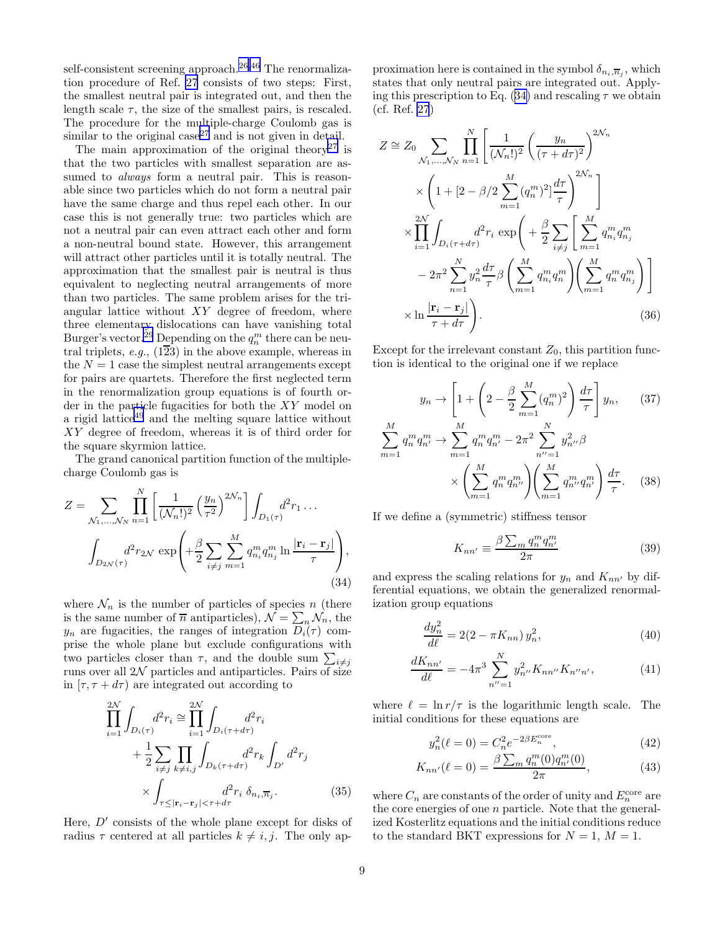<span id="page-8-0"></span>self-consistent screening approach.<sup>[26](#page-12-0),[46](#page-12-0)</sup> The renormalization procedure of Ref. [27](#page-12-0) consists of two steps: First, the smallest neutral pair is integrated out, and then the length scale  $\tau$ , the size of the smallest pairs, is rescaled. The procedure for the multiple-charge Coulomb gas is similar to the original case<sup>[27](#page-12-0)</sup> and is not given in detail.

The main approximation of the original theory<sup>[27](#page-12-0)</sup> is that the two particles with smallest separation are assumed to *always* form a neutral pair. This is reasonable since two particles which do not form a neutral pair have the same charge and thus repel each other. In our case this is not generally true: two particles which are not a neutral pair can even attract each other and form a non-neutral bound state. However, this arrangement will attract other particles until it is totally neutral. The approximation that the smallest pair is neutral is thus equivalent to neglecting neutral arrangements of more than two particles. The same problem arises for the triangular lattice without  $XY$  degree of freedom, where three elementary dislocations can have vanishing total Burger's vector.<sup>[29](#page-12-0)</sup> Depending on the  $q_n^m$  there can be neutral triplets, e.g.,  $(1\overline{2}3)$  in the above example, whereas in the  $N = 1$  case the simplest neutral arrangements except for pairs are quartets. Therefore the first neglected term in the renormalization group equations is of fourth order in the particle fugacities for both the XY model on a rigid lattice<sup>[49](#page-12-0)</sup> and the melting square lattice without XY degree of freedom, whereas it is of third order for the square skyrmion lattice.

The grand canonical partition function of the multiplecharge Coulomb gas is

$$
Z = \sum_{\mathcal{N}_1, ..., \mathcal{N}_N} \prod_{n=1}^N \left[ \frac{1}{(\mathcal{N}_n!)^2} \left( \frac{y_n}{\tau^2} \right)^{2\mathcal{N}_n} \right] \int_{D_1(\tau)} d^2 r_1 \dots
$$

$$
\int_{D_{2\mathcal{N}}(\tau)} d^2 r_{2\mathcal{N}} \exp\left( + \frac{\beta}{2} \sum_{i \neq j} \sum_{m=1}^M q_{n_i}^m q_{n_j}^m \ln \frac{|\mathbf{r}_i - \mathbf{r}_j|}{\tau} \right), \tag{34}
$$

where  $\mathcal{N}_n$  is the number of particles of species n (there is the same number of  $\overline{n}$  antiparticles),  $\mathcal{N} = \sum_{n} \mathcal{N}_n$ , the  $y_n$  are fugacities, the ranges of integration  $D_i(\tau)$  comprise the whole plane but exclude configurations with two particles closer than  $\tau$ , and the double sum  $\sum_{i \neq j}$ runs over all  $2\mathcal{N}$  particles and antiparticles. Pairs of size in  $[\tau, \tau + d\tau]$  are integrated out according to

$$
\prod_{i=1}^{2N} \int_{D_i(\tau)} d^2 r_i \approx \prod_{i=1}^{2N} \int_{D_i(\tau + d\tau)} d^2 r_i + \frac{1}{2} \sum_{i \neq j} \prod_{k \neq i,j} \int_{D_k(\tau + d\tau)} d^2 r_k \int_{D'} d^2 r_j + \times \int_{\tau \leq |\mathbf{r}_i - \mathbf{r}_j| < \tau + d\tau} d^2 r_i \, \delta_{n_i, \overline{n}_j}.
$$
\n(35)

Here,  $D'$  consists of the whole plane except for disks of radius  $\tau$  centered at all particles  $k \neq i, j$ . The only ap-

proximation here is contained in the symbol  $\delta_{n_i, \overline{n}_j}$ , which states that only neutral pairs are integrated out. Applying this prescription to Eq. (34) and rescaling  $\tau$  we obtain (cf. Ref. [27](#page-12-0))

$$
Z \cong Z_0 \sum_{\mathcal{N}_1, \dots, \mathcal{N}_N} \prod_{n=1}^N \left[ \frac{1}{(\mathcal{N}_n!)^2} \left( \frac{y_n}{(\tau + d\tau)^2} \right)^{2\mathcal{N}_n} \times \left( 1 + \left[ 2 - \beta / 2 \sum_{m=1}^M (q_n^m)^2 \right] \frac{d\tau}{\tau} \right)^{2\mathcal{N}_n} \right]
$$
  

$$
\times \prod_{i=1}^{2N} \int_{D_i(\tau + d\tau)} d^2 r_i \exp\left( + \frac{\beta}{2} \sum_{i \neq j} \left[ \sum_{m=1}^M q_{n_i}^m q_{n_j}^m - 2\pi^2 \sum_{n=1}^N y_n^2 \frac{d\tau}{\tau} \beta \left( \sum_{m=1}^M q_{n_i}^m q_n^m \right) \left( \sum_{m=1}^M q_n^m q_{n_j}^m \right) \right]
$$
  

$$
\times \ln \frac{|\mathbf{r}_i - \mathbf{r}_j|}{\tau + d\tau} \right). \tag{36}
$$

Except for the irrelevant constant  $Z_0$ , this partition function is identical to the original one if we replace

$$
y_n \to \left[1 + \left(2 - \frac{\beta}{2} \sum_{m=1}^M (q_n^m)^2\right) \frac{d\tau}{\tau}\right] y_n, \qquad (37)
$$

$$
\sum_{m=1}^M q_n^m q_{n'}^m \to \sum_{m=1}^M q_n^m q_{n'}^m - 2\pi^2 \sum_{n'=1}^N y_{n''}^2 \beta
$$

$$
\times \left(\sum_{m=1}^M q_n^m q_{n'}^m\right) \left(\sum_{m=1}^M q_{n''}^m q_{n'}^m\right) \frac{d\tau}{\tau}. \qquad (38)
$$

If we define a (symmetric) stiffness tensor

$$
K_{nn'} \equiv \frac{\beta \sum_{m} q_n^m q_{n'}^m}{2\pi} \tag{39}
$$

and express the scaling relations for  $y_n$  and  $K_{nn'}$  by differential equations, we obtain the generalized renormalization group equations

$$
\frac{dy_n^2}{d\ell} = 2(2 - \pi K_{nn})y_n^2,\tag{40}
$$

$$
\frac{dK_{nn'}}{d\ell} = -4\pi^3 \sum_{n''=1}^{N} y_{n''}^2 K_{nn''} K_{n''n'},\tag{41}
$$

where  $\ell = \ln r/\tau$  is the logarithmic length scale. The initial conditions for these equations are

$$
y_n^2(\ell=0) = C_n^2 e^{-2\beta E_n^{\text{core}}},\tag{42}
$$

$$
K_{nn'}(\ell=0) = \frac{\beta \sum_{m} q_n^m(0) q_{n'}^m(0)}{2\pi},\tag{43}
$$

where  $C_n$  are constants of the order of unity and  $E_n^{\text{core}}$  are the core energies of one n particle. Note that the generalized Kosterlitz equations and the initial conditions reduce to the standard BKT expressions for  $N = 1$ ,  $M = 1$ .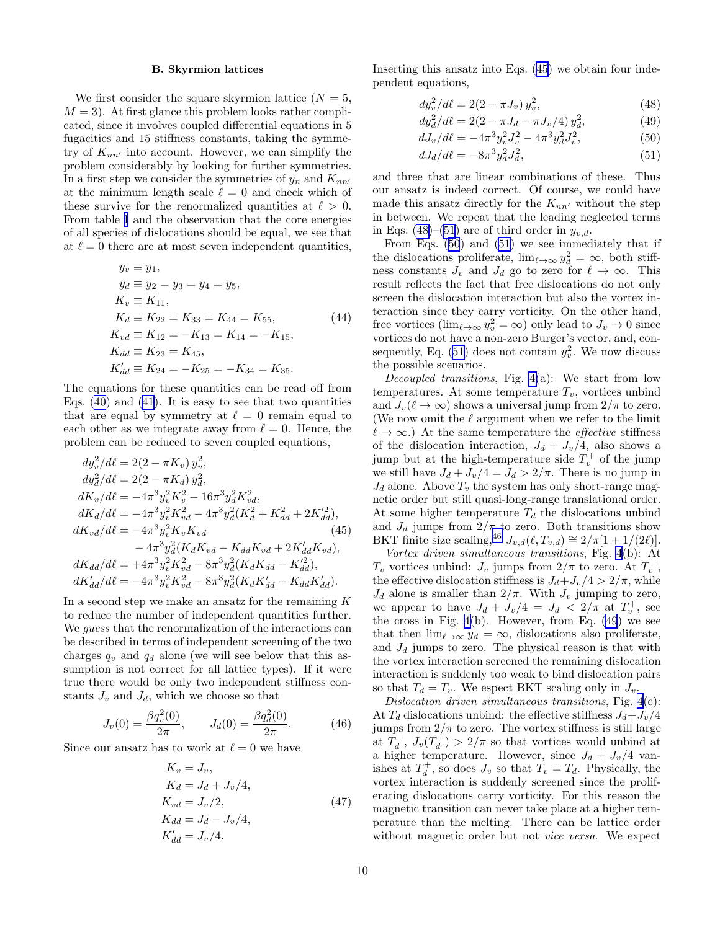#### B. Skyrmion lattices

We first consider the square skyrmion lattice  $(N = 5,$  $M = 3$ . At first glance this problem looks rather complicated, since it involves coupled differential equations in 5 fugacities and 15 stiffness constants, taking the symmetry of  $K_{nn'}$  into account. However, we can simplify the problem considerably by looking for further symmetries. In a first step we consider the symmetries of  $y_n$  and  $K_{nn'}$ at the minimum length scale  $\ell = 0$  and check which of these survive for the renormalized quantities at  $\ell > 0$ . From table [I](#page-14-0) and the observation that the core energies of all species of dislocations should be equal, we see that at  $\ell = 0$  there are at most seven independent quantities,

$$
y_v \equiv y_1, \n y_d \equiv y_2 = y_3 = y_4 = y_5, \n K_v \equiv K_{11}, \n K_d \equiv K_{22} = K_{33} = K_{44} = K_{55}, \n K_{vd} \equiv K_{12} = -K_{13} = K_{14} = -K_{15}, \n K_{dd} \equiv K_{23} = K_{45}, \n K'_{dd} \equiv K_{24} = -K_{25} = -K_{34} = K_{35}.
$$
\n(44)

The equations for these quantities can be read off from Eqs.  $(40)$  and  $(41)$ . It is easy to see that two quantities that are equal by symmetry at  $\ell = 0$  remain equal to each other as we integrate away from  $\ell = 0$ . Hence, the problem can be reduced to seven coupled equations,

$$
dy_v^2/d\ell = 2(2 - \pi K_v) y_v^2,
$$
  
\n
$$
dy_d^2/d\ell = 2(2 - \pi K_d) y_d^2,
$$
  
\n
$$
dK_v/d\ell = -4\pi^3 y_v^2 K_v^2 - 16\pi^3 y_d^2 K_{vd}^2,
$$
  
\n
$$
dK_d/d\ell = -4\pi^3 y_v^2 K_{vd}^2 - 4\pi^3 y_d^2 (K_d^2 + K_{dd}^2 + 2K_{dd}^2),
$$
  
\n
$$
dK_{vd}/dt = -4\pi^3 y_v^2 K_v K_{vd}
$$
\n(45)  
\n
$$
-4\pi^3 y_d^2 (K_d K_{vd} - K_{dd} K_{vd} + 2K_{dd}^{\prime} K_{vd}),
$$
  
\n
$$
dK_{dd}/dt = +4\pi^3 y_v^2 K_{vd}^2 - 8\pi^3 y_d^2 (K_d K_{dd} - K_{dd}^{\prime 2}),
$$
  
\n
$$
dK_{dd}/dt = -4\pi^3 y_v^2 K_{vd}^2 - 8\pi^3 y_d^2 (K_d K_{dd} - K_{dd}^{\prime 2}).
$$

In a second step we make an ansatz for the remaining  $K$ to reduce the number of independent quantities further. We *quess* that the renormalization of the interactions can be described in terms of independent screening of the two charges  $q_v$  and  $q_d$  alone (we will see below that this assumption is not correct for all lattice types). If it were true there would be only two independent stiffness constants  $J_v$  and  $J_d$ , which we choose so that

$$
J_v(0) = \frac{\beta q_v^2(0)}{2\pi}, \qquad J_d(0) = \frac{\beta q_d^2(0)}{2\pi}.
$$
 (46)

Since our ansatz has to work at  $\ell = 0$  we have

$$
K_v = J_v,
$$
  
\n
$$
K_d = J_d + J_v/4,
$$
  
\n
$$
K_{vd} = J_v/2,
$$
  
\n
$$
K_{dd} = J_d - J_v/4,
$$
  
\n
$$
K'_{dd} = J_v/4.
$$
\n(47)

Inserting this ansatz into Eqs. (45) we obtain four independent equations,

$$
dy_v^2/d\ell = 2(2 - \pi J_v) y_v^2,
$$
\n(48)

$$
dy_d^2/d\ell = 2(2 - \pi J_d - \pi J_v/4) y_d^2,
$$
 (49)

$$
dJ_v/d\ell = -4\pi^3 y_v^2 J_v^2 - 4\pi^3 y_d^2 J_v^2,\tag{50}
$$

$$
dJ_d/d\ell = -8\pi^3 y_d^2 J_d^2,\t\t(51)
$$

and three that are linear combinations of these. Thus our ansatz is indeed correct. Of course, we could have made this ansatz directly for the  $K_{nn'}$  without the step in between. We repeat that the leading neglected terms in Eqs. (48)–(51) are of third order in  $y_{v,d}$ .

From Eqs. (50) and (51) we see immediately that if the dislocations proliferate,  $\lim_{\ell \to \infty} y_{d_{\ell}}^2 = \infty$ , both stiffness constants  $J_v$  and  $J_d$  go to zero for  $\ell \to \infty$ . This result reflects the fact that free dislocations do not only screen the dislocation interaction but also the vortex interaction since they carry vorticity. On the other hand, free vortices  $(\lim_{\ell \to \infty} y_v^2 = \infty)$  only lead to  $J_v \to 0$  since vortices do not have a non-zero Burger's vector, and, consequently, Eq.  $(51)$  does not contain  $y_v^2$ . We now discuss the possible scenarios.

Decoupled transitions, Fig.  $4(a)$ : We start from low temperatures. At some temperature  $T_v$ , vortices unbind and  $J_v(\ell \to \infty)$  shows a universal jump from  $2/\pi$  to zero. (We now omit the  $\ell$  argument when we refer to the limit  $\ell \to \infty$ .) At the same temperature the *effective* stiffness of the dislocation interaction,  $J_d + J_v/4$ , also shows a jump but at the high-temperature side  $T_v^+$  of the jump we still have  $J_d + J_v/4 = J_d > 2/\pi$ . There is no jump in  $J_d$  alone. Above  $T_v$  the system has only short-range magnetic order but still quasi-long-range translational order. At some higher temperature  $T_d$  the dislocations unbind and  $J_d$  jumps from  $2/\pi$  to zero. Both transitions show BKT finite size scaling,<sup>[46](#page-12-0)</sup>  $J_{v,d}(\ell, T_{v,d}) \cong 2/\pi[1 + 1/(2\ell)].$ 

Vortex driven simultaneous transitions, Fig. [4](#page-14-0)(b): At  $T_v$  vortices unbind:  $J_v$  jumps from  $2/\pi$  to zero. At  $T_v^-$ , the effective dislocation stiffness is  $J_d+J_v/4 > 2/\pi$ , while  $J_d$  alone is smaller than  $2/\pi$ . With  $J_v$  jumping to zero, we appear to have  $J_d + J_v/4 = J_d < 2/\pi$  at  $T_v^+$ , see the cross in Fig.  $4(b)$ . However, from Eq.  $(49)$  we see that then  $\lim_{\ell \to \infty} y_d = \infty$ , dislocations also proliferate, and  $J_d$  jumps to zero. The physical reason is that with the vortex interaction screened the remaining dislocation interaction is suddenly too weak to bind dislocation pairs so that  $T_d = T_v$ . We espect BKT scaling only in  $J_v$ .

Dislocation driven simultaneous transitions, Fig. [4](#page-14-0)(c): At  $T_d$  dislocations unbind: the effective stiffness  $J_d+J_v/4$ jumps from  $2/\pi$  to zero. The vortex stiffness is still large at  $T_d^-$ ,  $J_v(T_d^-) > 2/\pi$  so that vortices would unbind at a higher temperature. However, since  $J_d + J_v/4$  vanishes at  $T_d^+$ , so does  $J_v$  so that  $T_v = T_d$ . Physically, the vortex interaction is suddenly screened since the proliferating dislocations carry vorticity. For this reason the magnetic transition can never take place at a higher temperature than the melting. There can be lattice order without magnetic order but not *vice versa*. We expect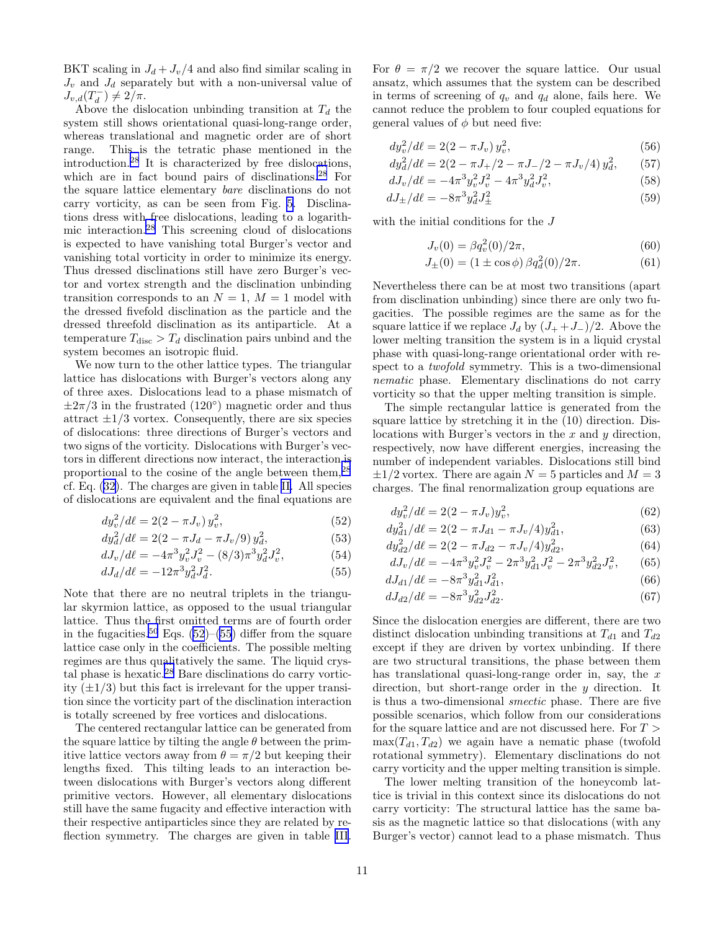BKT scaling in  $J_d + J_v/4$  and also find similar scaling in  $J_v$  and  $J_d$  separately but with a non-universal value of  $J_{v,d}(T_d^-) \neq 2/\pi.$ 

Above the dislocation unbinding transition at  $T_d$  the system still shows orientational quasi-long-range order, whereas translational and magnetic order are of short range. This is the tetratic phase mentioned in the introduction.[28](#page-12-0) It is characterized by free dislocations, which are in fact bound pairs of disclinations.<sup>[28](#page-12-0)</sup> For the square lattice elementary bare disclinations do not carry vorticity, as can be seen from Fig. [5](#page-14-0). Disclinations dress with free dislocations, leading to a logarithmic interaction.[28](#page-12-0) This screening cloud of dislocations is expected to have vanishing total Burger's vector and vanishing total vorticity in order to minimize its energy. Thus dressed disclinations still have zero Burger's vector and vortex strength and the disclination unbinding transition corresponds to an  $N = 1$ ,  $M = 1$  model with the dressed fivefold disclination as the particle and the dressed threefold disclination as its antiparticle. At a temperature  $T_{\text{disc}} > T_d$  disclination pairs unbind and the system becomes an isotropic fluid.

We now turn to the other lattice types. The triangular lattice has dislocations with Burger's vectors along any of three axes. Dislocations lead to a phase mismatch of  $\pm 2\pi/3$  in the frustrated (120<sup>°</sup>) magnetic order and thus attract  $\pm 1/3$  vortex. Consequently, there are six species of dislocations: three directions of Burger's vectors and two signs of the vorticity. Dislocations with Burger's vectors in different directions now interact, the interaction is proportional to the cosine of the angle between them,[28](#page-12-0) cf. Eq. [\(32](#page-7-0)). The charges are given in table [II.](#page-14-0) All species of dislocations are equivalent and the final equations are

$$
dy_v^2/d\ell = 2(2 - \pi J_v) y_v^2,
$$
\n(52)

$$
dy_d^2/d\ell = 2(2 - \pi J_d - \pi J_v/9) y_d^2,
$$
\n(53)

$$
dJ_v/d\ell = -4\pi^3 y_v^2 J_v^2 - (8/3)\pi^3 y_d^2 J_v^2, \tag{54}
$$

$$
dJ_d/d\ell = -12\pi^3 y_d^2 J_d^2. \tag{55}
$$

Note that there are no neutral triplets in the triangular skyrmion lattice, as opposed to the usual triangular lattice. Thus the first omitted terms are of fourth order in the fugacities.<sup>[50](#page-12-0)</sup> Eqs. (52)–(55) differ from the square lattice case only in the coefficients. The possible melting regimes are thus qualitatively the same. The liquid crystal phase is hexatic.[28](#page-12-0) Bare disclinations do carry vorticity  $(\pm 1/3)$  but this fact is irrelevant for the upper transition since the vorticity part of the disclination interaction is totally screened by free vortices and dislocations.

The centered rectangular lattice can be generated from the square lattice by tilting the angle  $\theta$  between the primitive lattice vectors away from  $\theta = \pi/2$  but keeping their lengths fixed. This tilting leads to an interaction between dislocations with Burger's vectors along different primitive vectors. However, all elementary dislocations still have the same fugacity and effective interaction with their respective antiparticles since they are related by reflection symmetry. The charges are given in table [III](#page-14-0).

For  $\theta = \pi/2$  we recover the square lattice. Our usual ansatz, which assumes that the system can be described in terms of screening of  $q_v$  and  $q_d$  alone, fails here. We cannot reduce the problem to four coupled equations for general values of  $\phi$  but need five:

$$
dy_v^2/d\ell = 2(2 - \pi J_v) y_v^2,
$$
\n(56)

$$
dy_d^2/d\ell = 2(2 - \pi J_+/2 - \pi J_-/2 - \pi J_v/4) y_d^2, \qquad (57)
$$

$$
dJ_v/d\ell = -4\pi^3 y_v^2 J_v^2 - 4\pi^3 y_d^2 J_v^2,\tag{58}
$$

$$
dJ_{\pm}/d\ell = -8\pi^3 y_d^2 J_{\pm}^2
$$
\n(59)

with the initial conditions for the J

$$
J_v(0) = \beta q_v^2(0)/2\pi,
$$
\n(60)

$$
J_{\pm}(0) = (1 \pm \cos \phi) \beta q_d^2(0)/2\pi.
$$
 (61)

Nevertheless there can be at most two transitions (apart from disclination unbinding) since there are only two fugacities. The possible regimes are the same as for the square lattice if we replace  $J_d$  by  $(J_+ + J_-)/2$ . Above the lower melting transition the system is in a liquid crystal phase with quasi-long-range orientational order with respect to a twofold symmetry. This is a two-dimensional nematic phase. Elementary disclinations do not carry vorticity so that the upper melting transition is simple.

The simple rectangular lattice is generated from the square lattice by stretching it in the (10) direction. Dislocations with Burger's vectors in the  $x$  and  $y$  direction, respectively, now have different energies, increasing the number of independent variables. Dislocations still bind  $\pm 1/2$  vortex. There are again  $N = 5$  particles and  $M = 3$ charges. The final renormalization group equations are

$$
dy_v^2/d\ell = 2(2 - \pi J_v)y_v^2,
$$
\n(62)

$$
dy_{d1}^{2}/d\ell = 2(2 - \pi J_{d1} - \pi J_{v}/4)y_{d1}^{2},
$$
\n(63)

$$
dy_{d2}^{2}/d\ell = 2(2 - \pi J_{d2} - \pi J_{v}/4)y_{d2}^{2},
$$
\n(64)

$$
dJ_v/d\ell = -4\pi^3 y_v^2 J_v^2 - 2\pi^3 y_{d1}^2 J_v^2 - 2\pi^3 y_{d2}^2 J_v^2,
$$
 (65)  

$$
dJ_v/d\ell = -8\pi^3 y^2 I^2
$$
 (66)

$$
dJ_{d1}/d\ell = -8\pi^3 y_{d1}^2 J_{d1}^2,
$$
\n
$$
dJ_{d1}/d\ell = -8\pi^3 y_{d1}^2 J_{d1}^2,
$$
\n(66)

$$
dJ_{d2}/d\ell = -8\pi^3 y_{d2}^2 J_{d2}^2.
$$
 (67)  
Since the dislocation energies are different, there are two

distinct dislocation unbinding transitions at  $T_{d1}$  and  $T_{d2}$ except if they are driven by vortex unbinding. If there are two structural transitions, the phase between them has translational quasi-long-range order in, say, the  $x$ direction, but short-range order in the  $y$  direction. It is thus a two-dimensional smectic phase. There are five possible scenarios, which follow from our considerations for the square lattice and are not discussed here. For  $T >$  $\max(T_{d1}, T_{d2})$  we again have a nematic phase (twofold rotational symmetry). Elementary disclinations do not carry vorticity and the upper melting transition is simple.

The lower melting transition of the honeycomb lattice is trivial in this context since its dislocations do not carry vorticity: The structural lattice has the same basis as the magnetic lattice so that dislocations (with any Burger's vector) cannot lead to a phase mismatch. Thus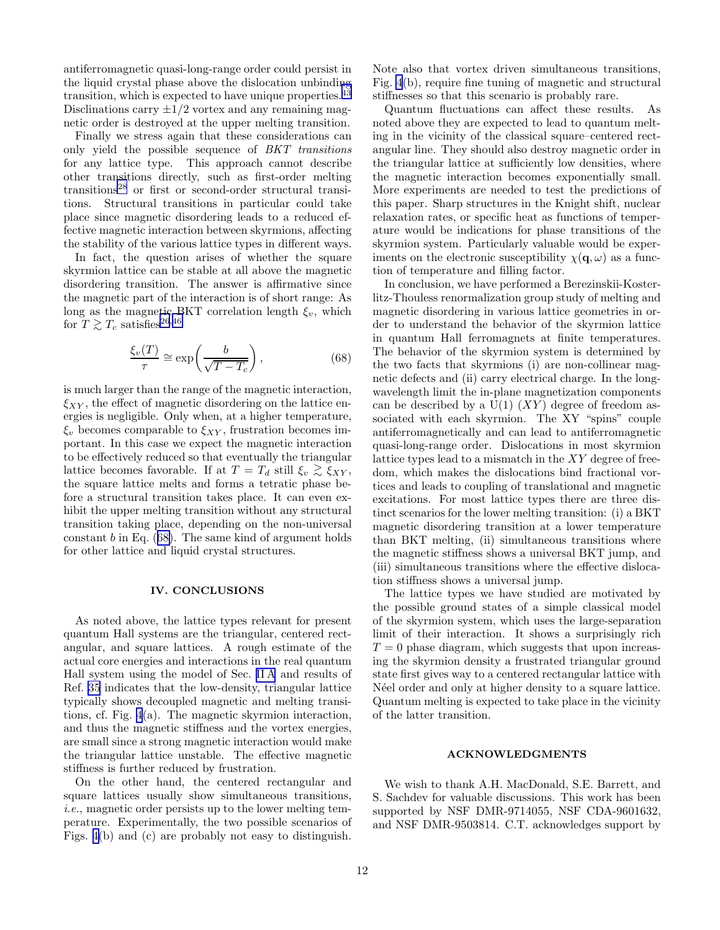antiferromagnetic quasi-long-range order could persist in the liquid crystal phase above the dislocation unbinding transition, which is expected to have unique properties.<sup>[43](#page-12-0)</sup> Disclinations carry  $\pm 1/2$  vortex and any remaining magnetic order is destroyed at the upper melting transition.

Finally we stress again that these considerations can only yield the possible sequence of BKT transitions for any lattice type. This approach cannot describe other transitions directly, such as first-order melting transitions[28](#page-12-0) or first or second-order structural transitions. Structural transitions in particular could take place since magnetic disordering leads to a reduced effective magnetic interaction between skyrmions, affecting the stability of the various lattice types in different ways.

In fact, the question arises of whether the square skyrmion lattice can be stable at all above the magnetic disordering transition. The answer is affirmative since the magnetic part of the interaction is of short range: As long as the magnetic BKT correlation length  $\xi_v$ , which for  $T \gtrsim T_c$  satisfies<sup>[26](#page-12-0),[46](#page-12-0)</sup>

$$
\frac{\xi_v(T)}{\tau} \cong \exp\left(\frac{b}{\sqrt{T - T_c}}\right),\tag{68}
$$

is much larger than the range of the magnetic interaction,  $\xi_{XY}$ , the effect of magnetic disordering on the lattice energies is negligible. Only when, at a higher temperature,  $\xi_v$  becomes comparable to  $\xi_{XY}$ , frustration becomes important. In this case we expect the magnetic interaction to be effectively reduced so that eventually the triangular lattice becomes favorable. If at  $T = T_d$  still  $\xi_v \gtrsim \xi_{XY}$ ,<br>the square lattice malte and forms a tetratic phase be the square lattice melts and forms a tetratic phase before a structural transition takes place. It can even exhibit the upper melting transition without any structural transition taking place, depending on the non-universal constant b in Eq.  $(68)$ . The same kind of argument holds for other lattice and liquid crystal structures.

### IV. CONCLUSIONS

As noted above, the lattice types relevant for present quantum Hall systems are the triangular, centered rectangular, and square lattices. A rough estimate of the actual core energies and interactions in the real quantum Hall system using the model of Sec. [II A](#page-3-0) and results of Ref. [35](#page-12-0) indicates that the low-density, triangular lattice typically shows decoupled magnetic and melting transitions, cf. Fig. [4](#page-14-0)(a). The magnetic skyrmion interaction, and thus the magnetic stiffness and the vortex energies, are small since a strong magnetic interaction would make the triangular lattice unstable. The effective magnetic stiffness is further reduced by frustration.

On the other hand, the centered rectangular and square lattices usually show simultaneous transitions, i.e., magnetic order persists up to the lower melting temperature. Experimentally, the two possible scenarios of Figs. [4\(](#page-14-0)b) and (c) are probably not easy to distinguish.

Note also that vortex driven simultaneous transitions, Fig. [4](#page-14-0)(b), require fine tuning of magnetic and structural stiffnesses so that this scenario is probably rare.

Quantum fluctuations can affect these results. As noted above they are expected to lead to quantum melting in the vicinity of the classical square–centered rectangular line. They should also destroy magnetic order in the triangular lattice at sufficiently low densities, where the magnetic interaction becomes exponentially small. More experiments are needed to test the predictions of this paper. Sharp structures in the Knight shift, nuclear relaxation rates, or specific heat as functions of temperature would be indications for phase transitions of the skyrmion system. Particularly valuable would be experiments on the electronic susceptibility  $\chi(\mathbf{q}, \omega)$  as a function of temperature and filling factor.

In conclusion, we have performed a Berezinskii-Kosterlitz-Thouless renormalization group study of melting and magnetic disordering in various lattice geometries in order to understand the behavior of the skyrmion lattice in quantum Hall ferromagnets at finite temperatures. The behavior of the skyrmion system is determined by the two facts that skyrmions (i) are non-collinear magnetic defects and (ii) carry electrical charge. In the longwavelength limit the in-plane magnetization components can be described by a  $U(1)$   $(XY)$  degree of freedom associated with each skyrmion. The XY "spins" couple antiferromagnetically and can lead to antiferromagnetic quasi-long-range order. Dislocations in most skyrmion lattice types lead to a mismatch in the XY degree of freedom, which makes the dislocations bind fractional vortices and leads to coupling of translational and magnetic excitations. For most lattice types there are three distinct scenarios for the lower melting transition: (i) a BKT magnetic disordering transition at a lower temperature than BKT melting, (ii) simultaneous transitions where the magnetic stiffness shows a universal BKT jump, and (iii) simultaneous transitions where the effective dislocation stiffness shows a universal jump.

The lattice types we have studied are motivated by the possible ground states of a simple classical model of the skyrmion system, which uses the large-separation limit of their interaction. It shows a surprisingly rich  $T = 0$  phase diagram, which suggests that upon increasing the skyrmion density a frustrated triangular ground state first gives way to a centered rectangular lattice with N'eel order and only at higher density to a square lattice. Quantum melting is expected to take place in the vicinity of the latter transition.

### ACKNOWLEDGMENTS

We wish to thank A.H. MacDonald, S.E. Barrett, and S. Sachdev for valuable discussions. This work has been supported by NSF DMR-9714055, NSF CDA-9601632, and NSF DMR-9503814. C.T. acknowledges support by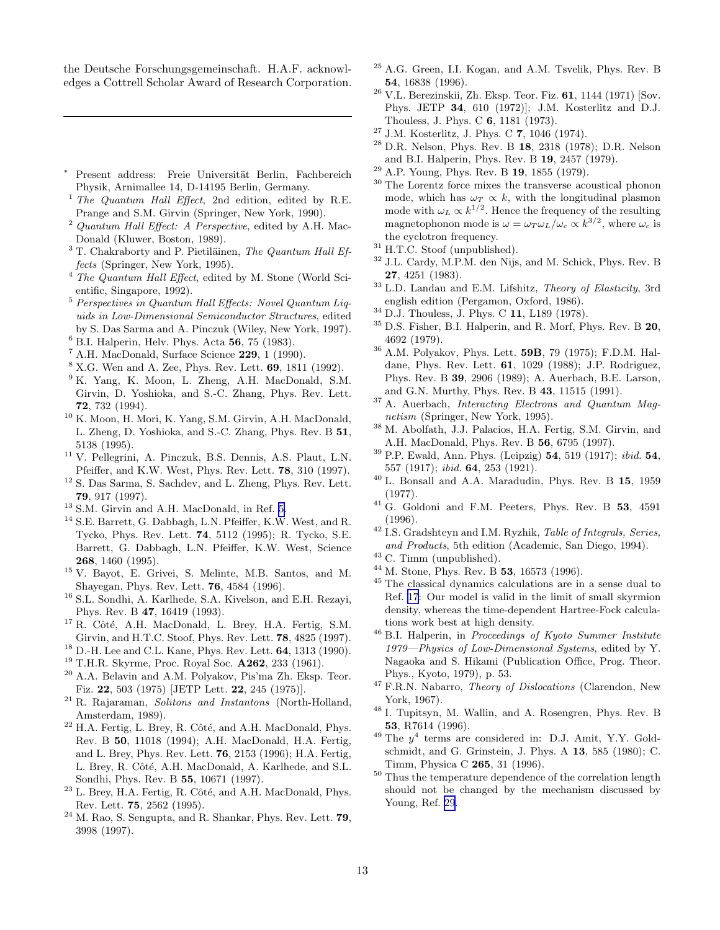<span id="page-12-0"></span>the Deutsche Forschungsgemeinschaft. H.A.F. acknowledges a Cottrell Scholar Award of Research Corporation.

- Present address: Freie Universität Berlin, Fachbereich Physik, Arnimallee 14, D-14195 Berlin, Germany.
- <sup>1</sup> The Quantum Hall Effect, 2nd edition, edited by R.E. Prange and S.M. Girvin (Springer, New York, 1990).
- <sup>2</sup> Quantum Hall Effect: A Perspective, edited by A.H. Mac-Donald (Kluwer, Boston, 1989).
- $3$  T. Chakraborty and P. Pietiläinen, The Quantum Hall Effects (Springer, New York, 1995).
- $4$  The Quantum Hall Effect, edited by M. Stone (World Scientific, Singapore, 1992).
- <sup>5</sup> Perspectives in Quantum Hall Effects: Novel Quantum Liquids in Low-Dimensional Semiconductor Structures, edited by S. Das Sarma and A. Pinczuk (Wiley, New York, 1997).
- $6$  B.I. Halperin, Helv. Phys. Acta 56, 75 (1983).
- $^7$  A.H. MacDonald, Surface Science 229, 1 (1990).
- <sup>8</sup> X.G. Wen and A. Zee, Phys. Rev. Lett. 69, 1811 (1992).
- <sup>9</sup> K. Yang, K. Moon, L. Zheng, A.H. MacDonald, S.M. Girvin, D. Yoshioka, and S.-C. Zhang, Phys. Rev. Lett. 72, 732 (1994).
- <sup>10</sup> K. Moon, H. Mori, K. Yang, S.M. Girvin, A.H. MacDonald, L. Zheng, D. Yoshioka, and S.-C. Zhang, Phys. Rev. B 51, 5138 (1995).
- <sup>11</sup> V. Pellegrini, A. Pinczuk, B.S. Dennis, A.S. Plaut, L.N. Pfeiffer, and K.W. West, Phys. Rev. Lett. 78, 310 (1997).
- <sup>12</sup> S. Das Sarma, S. Sachdev, and L. Zheng, Phys. Rev. Lett. 79, 917 (1997).
- <sup>13</sup> S.M. Girvin and A.H. MacDonald, in Ref. 5.
- <sup>14</sup> S.E. Barrett, G. Dabbagh, L.N. Pfeiffer, K.W. West, and R. Tycko, Phys. Rev. Lett. 74, 5112 (1995); R. Tycko, S.E. Barrett, G. Dabbagh, L.N. Pfeiffer, K.W. West, Science 268, 1460 (1995).
- <sup>15</sup> V. Bayot, E. Grivei, S. Melinte, M.B. Santos, and M. Shayegan, Phys. Rev. Lett. 76, 4584 (1996).
- <sup>16</sup> S.L. Sondhi, A. Karlhede, S.A. Kivelson, and E.H. Rezayi, Phys. Rev. B 47, 16419 (1993).
- <sup>17</sup> R. Côté, A.H. MacDonald, L. Brey, H.A. Fertig, S.M. Girvin, and H.T.C. Stoof, Phys. Rev. Lett. 78, 4825 (1997).
- $18$  D.-H. Lee and C.L. Kane, Phys. Rev. Lett.  $64$ , 1313 (1990).
- $19$  T.H.R. Skyrme, Proc. Royal Soc.  $A262$ , 233 (1961).
- $^{20}$  A.A. Belavin and A.M. Polyakov, Pis'ma Zh. Eksp. Teor. Fiz. 22, 503 (1975) [JETP Lett. 22, 245 (1975)].
- $21$  R. Rajaraman, Solitons and Instantons (North-Holland, Amsterdam, 1989).
- $^{22}$  H.A. Fertig, L. Brey, R. Côté, and A.H. MacDonald, Phys. Rev. B 50, 11018 (1994); A.H. MacDonald, H.A. Fertig, and L. Brey, Phys. Rev. Lett. 76, 2153 (1996); H.A. Fertig, L. Brey, R. Côté, A.H. MacDonald, A. Karlhede, and S.L. Sondhi, Phys. Rev. B 55, 10671 (1997).
- $^{23}$  L. Brey, H.A. Fertig, R. Côté, and A.H. MacDonald, Phys. Rev. Lett. 75, 2562 (1995).
- <sup>24</sup> M. Rao, S. Sengupta, and R. Shankar, Phys. Rev. Lett. 79, 3998 (1997).
- <sup>25</sup> A.G. Green, I.I. Kogan, and A.M. Tsvelik, Phys. Rev. B 54, 16838 (1996).
- $26$  V.L. Berezinskii, Zh. Eksp. Teor. Fiz. 61, 1144 (1971) [Sov. Phys. JETP 34, 610 (1972)]; J.M. Kosterlitz and D.J. Thouless, J. Phys. C 6, 1181 (1973).
- <sup>27</sup> J.M. Kosterlitz, J. Phys. C 7, 1046 (1974).
- $28$  D.R. Nelson, Phys. Rev. B 18, 2318 (1978); D.R. Nelson and B.I. Halperin, Phys. Rev. B 19, 2457 (1979).
- $^{29}$  A.P. Young, Phys. Rev. B  ${\bf 19},$  1855 (1979).
- <sup>30</sup> The Lorentz force mixes the transverse acoustical phonon mode, which has  $\omega_T \propto k$ , with the longitudinal plasmon mode with  $\omega_L \propto k^{1/2}$ . Hence the frequency of the resulting magnetophonon mode is  $\omega = \omega_T \omega_L / \omega_c \propto k^{3/2}$ , where  $\omega_c$  is the cyclotron frequency.
- $^{31}$  H.T.C. Stoof (unpublished).
- <sup>32</sup> J.L. Cardy, M.P.M. den Nijs, and M. Schick, Phys. Rev. B 27, 4251 (1983).
- <sup>33</sup> L.D. Landau and E.M. Lifshitz, Theory of Elasticity, 3rd english edition (Pergamon, Oxford, 1986).
- <sup>34</sup> D.J. Thouless, J. Phys. C 11, L189 (1978).
- $35$  D.S. Fisher, B.I. Halperin, and R. Morf, Phys. Rev. B  $20$ , 4692 (1979).
- <sup>36</sup> A.M. Polyakov, Phys. Lett. 59B, 79 (1975); F.D.M. Haldane, Phys. Rev. Lett. 61, 1029 (1988); J.P. Rodriguez, Phys. Rev. B 39, 2906 (1989); A. Auerbach, B.E. Larson, and G.N. Murthy, Phys. Rev. B 43, 11515 (1991).
- <sup>37</sup> A. Auerbach, Interacting Electrons and Quantum Magnetism (Springer, New York, 1995).
- <sup>38</sup> M. Abolfath, J.J. Palacios, H.A. Fertig, S.M. Girvin, and A.H. MacDonald, Phys. Rev. B 56, 6795 (1997).
- $39$  P.P. Ewald, Ann. Phys. (Leipzig)  $54$ ,  $519$  (1917); *ibid.*  $54$ , 557 (1917); ibid. 64, 253 (1921).
- <sup>40</sup> L. Bonsall and A.A. Maradudin, Phys. Rev. B 15, 1959 (1977).
- $^{41}$  G. Goldoni and F.M. Peeters, Phys. Rev. B  $53$ , 4591 (1996).
- <sup>42</sup> I.S. Gradshteyn and I.M. Ryzhik, *Table of Integrals*, *Series*, and Products, 5th edition (Academic, San Diego, 1994).
- <sup>43</sup> C. Timm (unpublished).
- $^{44}$  M. Stone, Phys. Rev. B 53, 16573 (1996).
- <sup>45</sup> The classical dynamics calculations are in a sense dual to Ref. 17: Our model is valid in the limit of small skyrmion density, whereas the time-dependent Hartree-Fock calculations work best at high density.
- <sup>46</sup> B.I. Halperin, in Proceedings of Kyoto Summer Institute 1979—Physics of Low-Dimensional Systems, edited by Y. Nagaoka and S. Hikami (Publication Office, Prog. Theor. Phys., Kyoto, 1979), p. 53.
- <sup>47</sup> F.R.N. Nabarro, *Theory of Dislocations* (Clarendon, New York, 1967).
- <sup>48</sup> I. Tupitsyn, M. Wallin, and A. Rosengren, Phys. Rev. B 53, R7614 (1996).
- $49$  The  $y^4$  terms are considered in: D.J. Amit, Y.Y. Goldschmidt, and G. Grinstein, J. Phys. A 13, 585 (1980); C. Timm, Physica C 265, 31 (1996).
- <sup>50</sup> Thus the temperature dependence of the correlation length should not be changed by the mechanism discussed by Young, Ref. 29.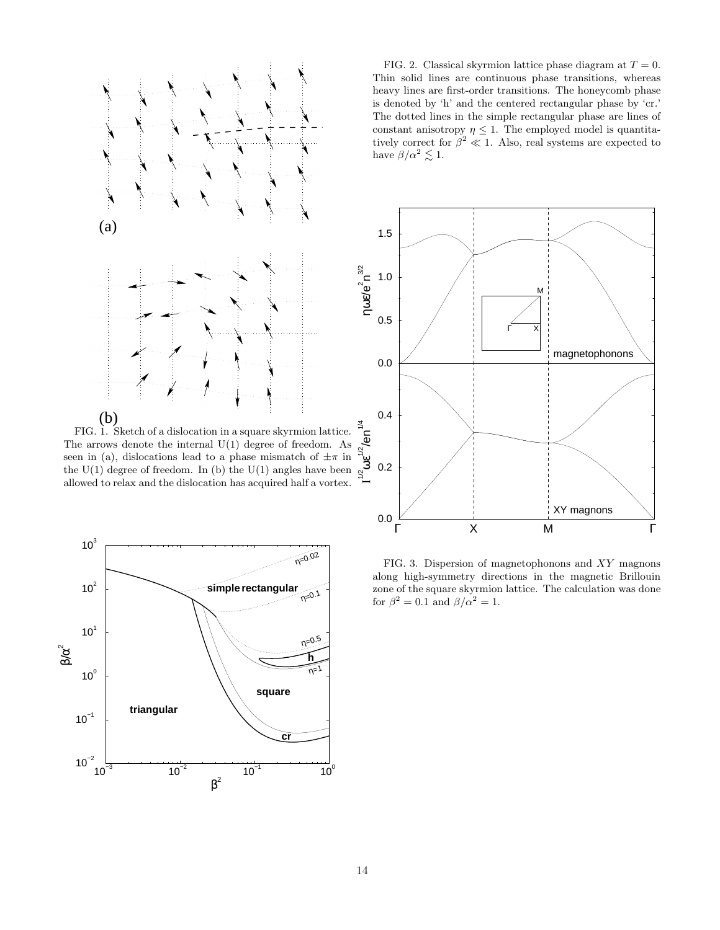<span id="page-13-0"></span>

FIG. 1. Sketch of a dislocation in a square skyrmion lattice. The arrows denote the internal  $U(1)$  degree of freedom. As seen in (a), dislocations lead to a phase mismatch of  $\pm \pi$  in the  $U(1)$  degree of freedom. In (b) the  $U(1)$  angles have been allowed to relax and the dislocation has acquired half a vortex.



FIG. 2. Classical skyrmion lattice phase diagram at  $T = 0$ . Thin solid lines are continuous phase transitions, whereas heavy lines are first-order transitions. The honeycomb phase is denoted by 'h' and the centered rectangular phase by 'cr.' The dotted lines in the simple rectangular phase are lines of constant anisotropy  $\eta \leq 1$ . The employed model is quantitatively correct for  $\beta^2 \ll 1$ . Also, real systems are expected to have  $\beta/\alpha^2 \lesssim 1$ .



FIG. 3. Dispersion of magnetophonons and XY magnons along high-symmetry directions in the magnetic Brillouin zone of the square skyrmion lattice. The calculation was done for  $\beta^2 = 0.1$  and  $\beta/\alpha^2 = 1$ .